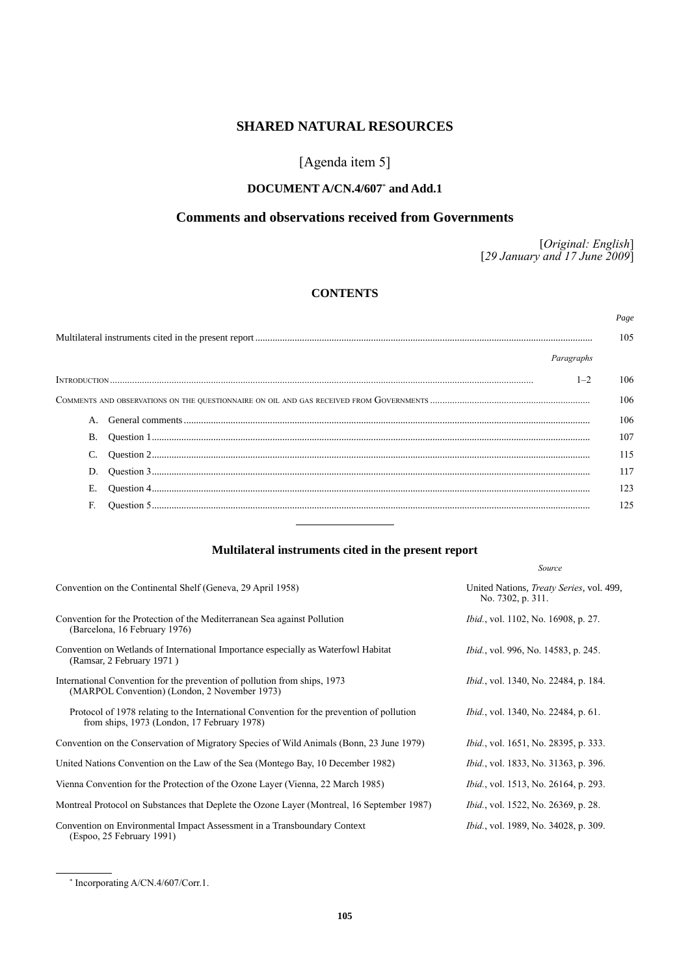# **SHARED NATURAL RESOURCES**

# [Agenda item 5]

# **DOCUMENT A/CN.4/607**\*  **and Add.1**

# **Comments and observations received from Governments**

[*Original: English*] [*29 January and 17 June 2009*]

*Source*

# **CONTENTS**

|            | Page |
|------------|------|
|            | 105  |
| Paragraphs |      |
| $1 - 2$    | 106  |
|            | 106  |
|            | 106  |
|            | 107  |
|            | 115  |
|            | 117  |
|            | 123  |
|            | 125  |

# **Multilateral instruments cited in the present report**

| Convention on the Continental Shelf (Geneva, 29 April 1958)                                                                              | United Nations, <i>Treaty Series</i> , vol. 499,<br>No. 7302, p. 311. |
|------------------------------------------------------------------------------------------------------------------------------------------|-----------------------------------------------------------------------|
| Convention for the Protection of the Mediterranean Sea against Pollution<br>(Barcelona, 16 February 1976)                                | <i>Ibid.</i> , vol. 1102, No. 16908, p. 27.                           |
| Convention on Wetlands of International Importance especially as Waterfowl Habitat<br>(Ramsar, 2 February 1971)                          | <i>Ibid.</i> , vol. 996, No. 14583, p. 245.                           |
| International Convention for the prevention of pollution from ships, 1973<br>(MARPOL Convention) (London, 2 November 1973)               | <i>Ibid.</i> , vol. 1340, No. 22484, p. 184.                          |
| Protocol of 1978 relating to the International Convention for the prevention of pollution<br>from ships, 1973 (London, 17 February 1978) | <i>Ibid.</i> , vol. 1340, No. 22484, p. 61.                           |
| Convention on the Conservation of Migratory Species of Wild Animals (Bonn, 23 June 1979)                                                 | <i>Ibid.</i> , vol. 1651, No. 28395, p. 333.                          |
| United Nations Convention on the Law of the Sea (Montego Bay, 10 December 1982)                                                          | <i>Ibid.</i> , vol. 1833, No. 31363, p. 396.                          |
| Vienna Convention for the Protection of the Ozone Layer (Vienna, 22 March 1985)                                                          | <i>Ibid.</i> , vol. 1513, No. 26164, p. 293.                          |
| Montreal Protocol on Substances that Deplete the Ozone Layer (Montreal, 16 September 1987)                                               | <i>Ibid.</i> , vol. 1522, No. 26369, p. 28.                           |
| Convention on Environmental Impact Assessment in a Transboundary Context<br>(Espoo, 25 February 1991)                                    | <i>Ibid., vol.</i> 1989, No. 34028, p. 309.                           |

\* Incorporating A/CN.4/607/Corr.1.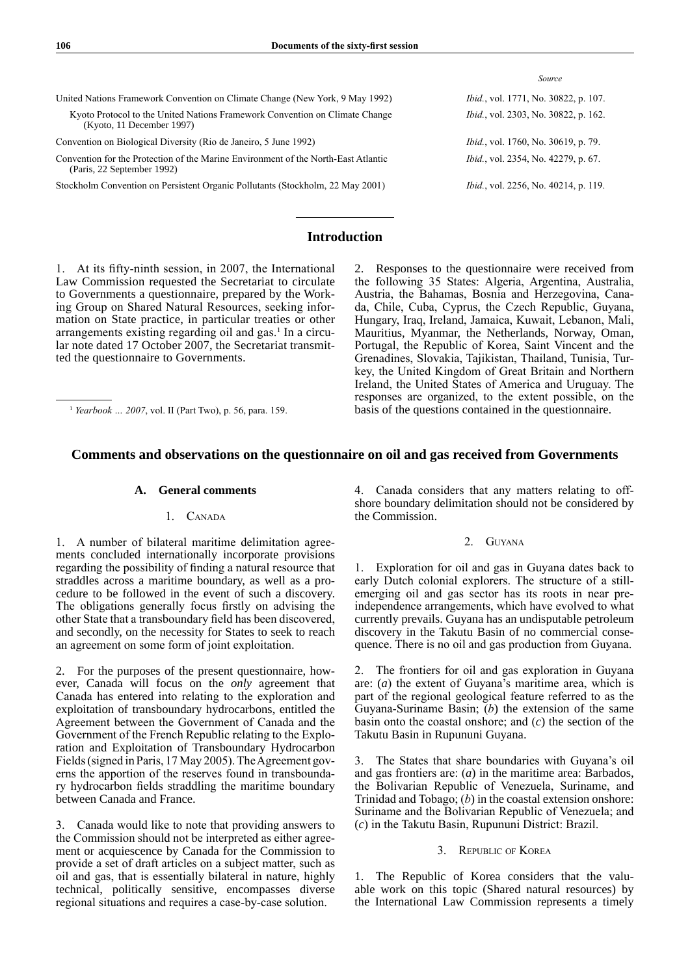|                                                                                                                  | Source                                       |
|------------------------------------------------------------------------------------------------------------------|----------------------------------------------|
| United Nations Framework Convention on Climate Change (New York, 9 May 1992)                                     | <i>Ibid.</i> , vol. 1771, No. 30822, p. 107. |
| Kyoto Protocol to the United Nations Framework Convention on Climate Change<br>(Kyoto, 11 December 1997)         | <i>Ibid.</i> , vol. 2303, No. 30822, p. 162. |
| Convention on Biological Diversity (Rio de Janeiro, 5 June 1992)                                                 | <i>Ibid.</i> , vol. 1760, No. 30619, p. 79.  |
| Convention for the Protection of the Marine Environment of the North-East Atlantic<br>(Paris, 22 September 1992) | <i>Ibid.</i> , vol. 2354, No. 42279, p. 67.  |
| Stockholm Convention on Persistent Organic Pollutants (Stockholm, 22 May 2001)                                   | <i>Ibid.</i> , vol. 2256, No. 40214, p. 119. |

# **Introduction**

1. At its fifty-ninth session, in 2007, the International Law Commission requested the Secretariat to circulate to Governments a questionnaire, prepared by the Working Group on Shared Natural Resources, seeking information on State practice, in particular treaties or other arrangements existing regarding oil and gas.<sup>1</sup> In a circular note dated 17 October 2007, the Secretariat transmitted the questionnaire to Governments.

2. Responses to the questionnaire were received from the following 35 States: Algeria, Argentina, Australia, Austria, the Bahamas, Bosnia and Herzegovina, Canada, Chile, Cuba, Cyprus, the Czech Republic, Guyana, Hungary, Iraq, Ireland, Jamaica, Kuwait, Lebanon, Mali, Mauritius, Myanmar, the Netherlands, Norway, Oman, Portugal, the Republic of Korea, Saint Vincent and the Grenadines, Slovakia, Tajikistan, Thailand, Tunisia, Turkey, the United Kingdom of Great Britain and Northern Ireland, the United States of America and Uruguay. The responses are organized, to the extent possible, on the basis of the questions contained in the questionnaire.

<sup>1</sup> *Yearbook … 2007*, vol. II (Part Two), p. 56, para. 159.

# **Comments and observations on the questionnaire on oil and gas received from Governments**

### **A. General comments**

### 1. CANADA

1. A number of bilateral maritime delimitation agreements concluded internationally incorporate provisions regarding the possibility of finding a natural resource that straddles across a maritime boundary, as well as a procedure to be followed in the event of such a discovery. The obligations generally focus firstly on advising the other State that a transboundary field has been discovered, and secondly, on the necessity for States to seek to reach an agreement on some form of joint exploitation.

2. For the purposes of the present questionnaire, however, Canada will focus on the *only* agreement that Canada has entered into relating to the exploration and exploitation of transboundary hydrocarbons, entitled the Agreement between the Government of Canada and the Government of the French Republic relating to the Exploration and Exploitation of Transboundary Hydrocarbon Fields (signed in Paris, 17 May 2005). The Agreement governs the apportion of the reserves found in transboundary hydrocarbon fields straddling the maritime boundary between Canada and France.

3. Canada would like to note that providing answers to the Commission should not be interpreted as either agreement or acquiescence by Canada for the Commission to provide a set of draft articles on a subject matter, such as oil and gas, that is essentially bilateral in nature, highly technical, politically sensitive, encompasses diverse regional situations and requires a case-by-case solution.

4. Canada considers that any matters relating to offshore boundary delimitation should not be considered by the Commission.

### 2. Guyana

1. Exploration for oil and gas in Guyana dates back to early Dutch colonial explorers. The structure of a stillemerging oil and gas sector has its roots in near preindependence arrangements, which have evolved to what currently prevails. Guyana has an undisputable petroleum discovery in the Takutu Basin of no commercial consequence. There is no oil and gas production from Guyana.

2. The frontiers for oil and gas exploration in Guyana are: (*a*) the extent of Guyana's maritime area, which is part of the regional geological feature referred to as the Guyana-Suriname Basin; (*b*) the extension of the same basin onto the coastal onshore; and (*c*) the section of the Takutu Basin in Rupununi Guyana.

3. The States that share boundaries with Guyana's oil and gas frontiers are: (*a*) in the maritime area: Barbados, the Bolivarian Republic of Venezuela, Suriname, and Trinidad and Tobago; (*b*) in the coastal extension onshore: Suriname and the Bolivarian Republic of Venezuela; and (*c*) in the Takutu Basin, Rupununi District: Brazil.

### 3. Republic of Korea

1. The Republic of Korea considers that the valuable work on this topic (Shared natural resources) by the International Law Commission represents a timely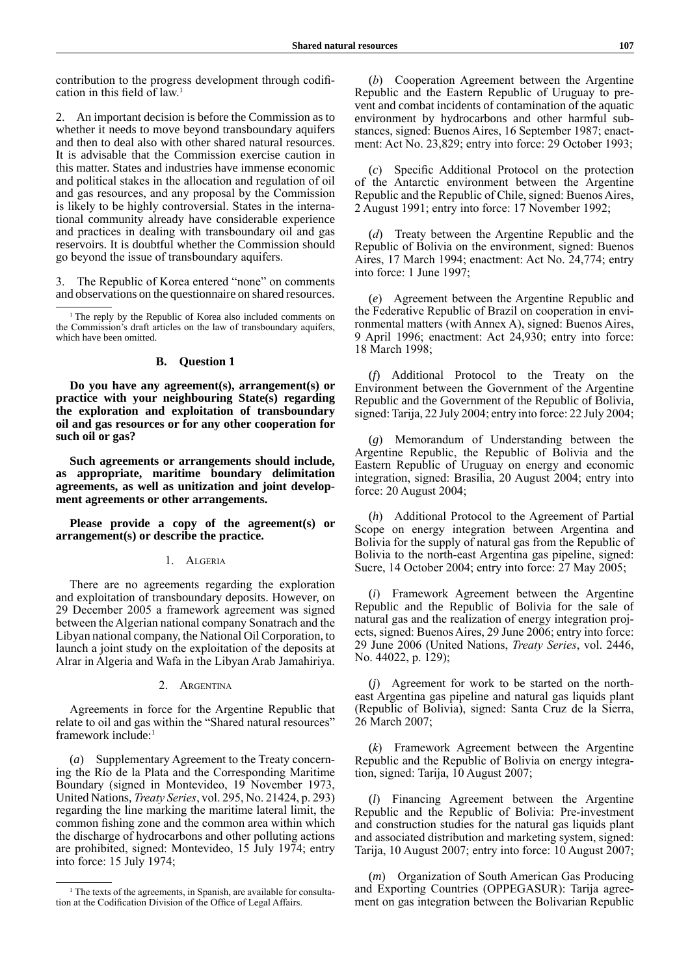contribution to the progress development through codification in this field of law.<sup>1</sup>

2. An important decision is before the Commission as to whether it needs to move beyond transboundary aquifers and then to deal also with other shared natural resources. It is advisable that the Commission exercise caution in this matter. States and industries have immense economic and political stakes in the allocation and regulation of oil and gas resources, and any proposal by the Commission is likely to be highly controversial. States in the international community already have considerable experience and practices in dealing with transboundary oil and gas reservoirs. It is doubtful whether the Commission should go beyond the issue of transboundary aquifers.

3. The Republic of Korea entered "none" on comments and observations on the questionnaire on shared resources.

<sup>1</sup> The reply by the Republic of Korea also included comments on the Commission's draft articles on the law of transboundary aquifers, which have been omitted.

### **B. Question 1**

**Do you have any agreement(s), arrangement(s) or practice with your neighbouring State(s) regarding the exploration and exploitation of transboundary oil and gas resources or for any other cooperation for such oil or gas?**

**Such agreements or arrangements should include, as appropriate, maritime boundary delimitation agreements, as well as unitization and joint development agreements or other arrangements.**

**Please provide a copy of the agreement(s) or arrangement(s) or describe the practice.**

#### 1. Algeria

There are no agreements regarding the exploration and exploitation of transboundary deposits. However, on 29 December 2005 a framework agreement was signed between the Algerian national company Sonatrach and the Libyan national company, the National Oil Corporation, to launch a joint study on the exploitation of the deposits at Alrar in Algeria and Wafa in the Libyan Arab Jamahiriya.

#### 2. Argentina

Agreements in force for the Argentine Republic that relate to oil and gas within the "Shared natural resources" framework include:1

(*a*) Supplementary Agreement to the Treaty concerning the Río de la Plata and the Corresponding Maritime Boundary (signed in Montevideo, 19 November 1973, United Nations, *Treaty Series*, vol. 295, No. 21424, p. 293) regarding the line marking the maritime lateral limit, the common fishing zone and the common area within which the discharge of hydrocarbons and other polluting actions are prohibited, signed: Montevideo, 15 July 1974; entry into force: 15 July 1974;

(*b*) Cooperation Agreement between the Argentine Republic and the Eastern Republic of Uruguay to prevent and combat incidents of contamination of the aquatic environment by hydrocarbons and other harmful substances, signed: Buenos Aires, 16 September 1987; enactment: Act No. 23,829; entry into force: 29 October 1993;

(*c*) Specific Additional Protocol on the protection of the Antarctic environment between the Argentine Republic and the Republic of Chile, signed: Buenos Aires, 2 August 1991; entry into force: 17 November 1992;

(*d*) Treaty between the Argentine Republic and the Republic of Bolivia on the environment, signed: Buenos Aires, 17 March 1994; enactment: Act No. 24,774; entry into force: 1 June 1997;

(*e*) Agreement between the Argentine Republic and the Federative Republic of Brazil on cooperation in environmental matters (with Annex A), signed: Buenos Aires, 9 April 1996; enactment: Act 24,930; entry into force: 18 March 1998;

(*f*) Additional Protocol to the Treaty on the Environment between the Government of the Argentine Republic and the Government of the Republic of Bolivia, signed: Tarija, 22 July 2004; entry into force: 22 July 2004;

(*g*) Memorandum of Understanding between the Argentine Republic, the Republic of Bolivia and the Eastern Republic of Uruguay on energy and economic integration, signed: Brasilia, 20 August 2004; entry into force: 20 August 2004;

(*h*) Additional Protocol to the Agreement of Partial Scope on energy integration between Argentina and Bolivia for the supply of natural gas from the Republic of Bolivia to the north-east Argentina gas pipeline, signed: Sucre, 14 October 2004; entry into force: 27 May 2005;

(*i*) Framework Agreement between the Argentine Republic and the Republic of Bolivia for the sale of natural gas and the realization of energy integration projects, signed: Buenos Aires, 29 June 2006; entry into force: 29 June 2006 (United Nations, *Treaty Series*, vol. 2446, No. 44022, p. 129);

(*j*) Agreement for work to be started on the northeast Argentina gas pipeline and natural gas liquids plant (Republic of Bolivia), signed: Santa Cruz de la Sierra, 26 March 2007;

(*k*) Framework Agreement between the Argentine Republic and the Republic of Bolivia on energy integration, signed: Tarija, 10 August 2007;

(*l*) Financing Agreement between the Argentine Republic and the Republic of Bolivia: Pre-investment and construction studies for the natural gas liquids plant and associated distribution and marketing system, signed: Tarija, 10 August 2007; entry into force: 10 August 2007;

(*m*) Organization of South American Gas Producing and Exporting Countries (OPPEGASUR): Tarija agreement on gas integration between the Bolivarian Republic

<sup>&</sup>lt;sup>1</sup> The texts of the agreements, in Spanish, are available for consultation at the Codification Division of the Office of Legal Affairs.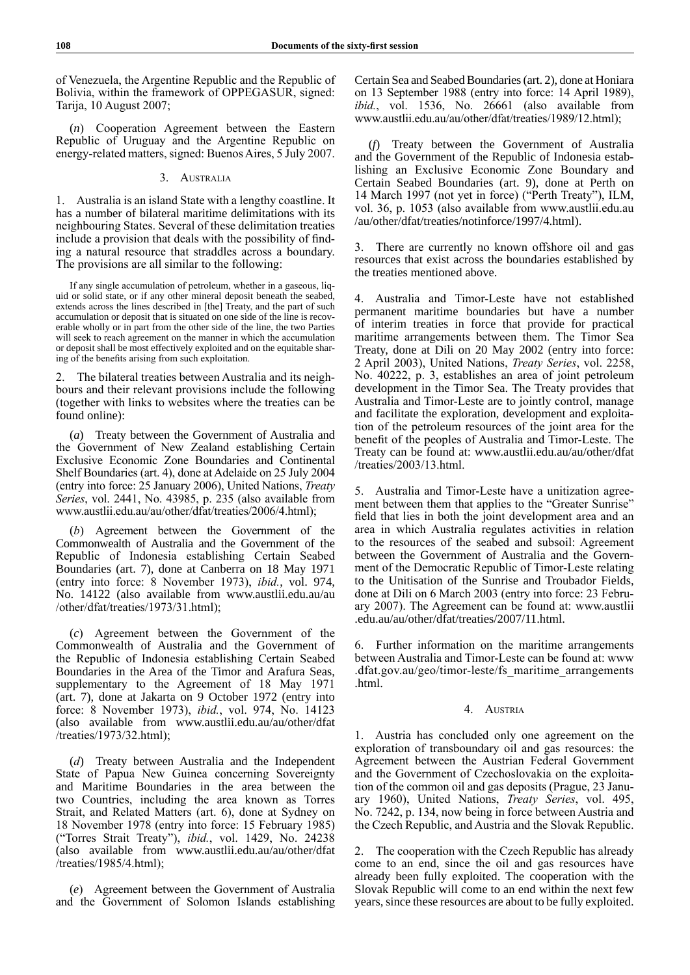of Venezuela, the Argentine Republic and the Republic of Bolivia, within the framework of OPPEGASUR, signed: Tarija, 10 August 2007;

(*n*) Cooperation Agreement between the Eastern Republic of Uruguay and the Argentine Republic on energy-related matters, signed: Buenos Aires, 5 July 2007.

# 3. Australia

1. Australia is an island State with a lengthy coastline. It has a number of bilateral maritime delimitations with its neighbouring States. Several of these delimitation treaties include a provision that deals with the possibility of finding a natural resource that straddles across a boundary. The provisions are all similar to the following:

If any single accumulation of petroleum, whether in a gaseous, liquid or solid state, or if any other mineral deposit beneath the seabed, extends across the lines described in [the] Treaty, and the part of such accumulation or deposit that is situated on one side of the line is recoverable wholly or in part from the other side of the line, the two Parties will seek to reach agreement on the manner in which the accumulation or deposit shall be most effectively exploited and on the equitable sharing of the benefits arising from such exploitation.

2. The bilateral treaties between Australia and its neighbours and their relevant provisions include the following (together with links to websites where the treaties can be found online):

(*a*) Treaty between the Government of Australia and the Government of New Zealand establishing Certain Exclusive Economic Zone Boundaries and Continental Shelf Boundaries (art. 4), done at Adelaide on 25 July 2004 (entry into force: 25 January 2006), United Nations, *Treaty Series*, vol. 2441, No. 43985, p. 235 (also available from www.austlii.edu.au/au/other/dfat/treaties/2006/4.html);

(*b*) Agreement between the Government of the Commonwealth of Australia and the Government of the Republic of Indonesia establishing Certain Seabed Boundaries (art. 7), done at Canberra on 18 May 1971 (entry into force: 8 November 1973), *ibid.*, vol. 974, No. 14122 (also available from www.austlii.edu.au/au /other/dfat/treaties/1973/31.html);

(*c*) Agreement between the Government of the Commonwealth of Australia and the Government of the Republic of Indonesia establishing Certain Seabed Boundaries in the Area of the Timor and Arafura Seas, supplementary to the Agreement of 18 May 1971 (art. 7), done at Jakarta on 9 October 1972 (entry into force: 8 November 1973), *ibid.*, vol. 974, No. 14123 (also available from www.austlii.edu.au/au/other/dfat /treaties/1973/32.html);

(*d*) Treaty between Australia and the Independent State of Papua New Guinea concerning Sovereignty and Maritime Boundaries in the area between the two Countries, including the area known as Torres Strait, and Related Matters (art. 6), done at Sydney on 18 November 1978 (entry into force: 15 February 1985) ("Torres Strait Treaty"), *ibid.*, vol. 1429, No. 24238 (also available from www.austlii.edu.au/au/other/dfat /treaties/1985/4.html);

(*e*) Agreement between the Government of Australia and the Government of Solomon Islands establishing Certain Sea and Seabed Boundaries (art. 2), done at Honiara on 13 September 1988 (entry into force: 14 April 1989), *ibid.*, vol. 1536, No. 26661 (also available from www.austlii.edu.au/au/other/dfat/treaties/1989/12.html);

(*f*) Treaty between the Government of Australia and the Government of the Republic of Indonesia establishing an Exclusive Economic Zone Boundary and Certain Seabed Boundaries (art. 9), done at Perth on 14 March 1997 (not yet in force) ("Perth Treaty"), ILM, vol. 36, p. 1053 (also available from www.austlii.edu.au /au/other/dfat/treaties/notinforce/1997/4.html).

3. There are currently no known offshore oil and gas resources that exist across the boundaries established by the treaties mentioned above.

4. Australia and Timor-Leste have not established permanent maritime boundaries but have a number of interim treaties in force that provide for practical maritime arrangements between them. The Timor Sea Treaty, done at Dili on 20 May 2002 (entry into force: 2 April 2003), United Nations, *Treaty Series*, vol. 2258, No. 40222, p. 3, establishes an area of joint petroleum development in the Timor Sea. The Treaty provides that Australia and Timor-Leste are to jointly control, manage and facilitate the exploration, development and exploitation of the petroleum resources of the joint area for the benefit of the peoples of Australia and Timor-Leste. The Treaty can be found at: www.austlii.edu.au/au/other/dfat /treaties/2003/13.html

5. Australia and Timor-Leste have a unitization agreement between them that applies to the "Greater Sunrise" field that lies in both the joint development area and an area in which Australia regulates activities in relation to the resources of the seabed and subsoil: Agreement between the Government of Australia and the Government of the Democratic Republic of Timor-Leste relating to the Unitisation of the Sunrise and Troubador Fields, done at Dili on 6 March 2003 (entry into force: 23 February 2007). The Agreement can be found at: www.austlii .edu.au/au/other/dfat/treaties/2007/11.html.

6. Further information on the maritime arrangements between Australia and Timor-Leste can be found at: www .dfat.gov.au/geo/timor-leste/fs\_maritime\_arrangements .html.

### 4. Austria

1. Austria has concluded only one agreement on the exploration of transboundary oil and gas resources: the Agreement between the Austrian Federal Government and the Government of Czechoslovakia on the exploitation of the common oil and gas deposits (Prague, 23 January 1960), United Nations, *Treaty Series*, vol. 495, No. 7242, p. 134, now being in force between Austria and the Czech Republic, and Austria and the Slovak Republic.

2. The cooperation with the Czech Republic has already come to an end, since the oil and gas resources have already been fully exploited. The cooperation with the Slovak Republic will come to an end within the next few years, since these resources are about to be fully exploited.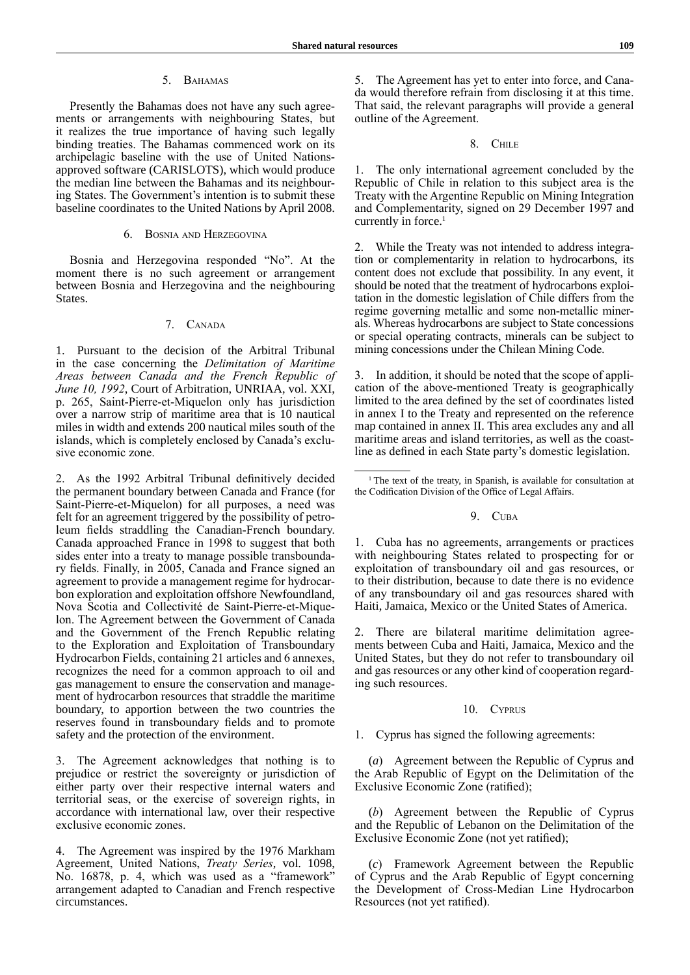# 5. BAHAMAS

Presently the Bahamas does not have any such agreements or arrangements with neighbouring States, but it realizes the true importance of having such legally binding treaties. The Bahamas commenced work on its archipelagic baseline with the use of United Nationsapproved software (CARISLOTS), which would produce the median line between the Bahamas and its neighbouring States. The Government's intention is to submit these baseline coordinates to the United Nations by April 2008.

# 6. Bosnia and Herzegovina

Bosnia and Herzegovina responded "No". At the moment there is no such agreement or arrangement between Bosnia and Herzegovina and the neighbouring States.

# 7. Canada

1. Pursuant to the decision of the Arbitral Tribunal in the case concerning the *Delimitation of Maritime Areas between Canada and the French Republic of June 10, 1992*, Court of Arbitration, UNRIAA, vol. XXI, p. 265, Saint-Pierre-et-Miquelon only has jurisdiction over a narrow strip of maritime area that is 10 nautical miles in width and extends 200 nautical miles south of the islands, which is completely enclosed by Canada's exclusive economic zone.

2. As the 1992 Arbitral Tribunal definitively decided the permanent boundary between Canada and France (for Saint-Pierre-et-Miquelon) for all purposes, a need was felt for an agreement triggered by the possibility of petroleum fields straddling the Canadian-French boundary. Canada approached France in 1998 to suggest that both sides enter into a treaty to manage possible transboundary fields. Finally, in 2005, Canada and France signed an agreement to provide a management regime for hydrocarbon exploration and exploitation offshore Newfoundland, Nova Scotia and Collectivité de Saint-Pierre-et-Miquelon. The Agreement between the Government of Canada and the Government of the French Republic relating to the Exploration and Exploitation of Transboundary Hydrocarbon Fields, containing 21 articles and 6 annexes, recognizes the need for a common approach to oil and gas management to ensure the conservation and management of hydrocarbon resources that straddle the maritime boundary, to apportion between the two countries the reserves found in transboundary fields and to promote safety and the protection of the environment.

3. The Agreement acknowledges that nothing is to prejudice or restrict the sovereignty or jurisdiction of either party over their respective internal waters and territorial seas, or the exercise of sovereign rights, in accordance with international law, over their respective exclusive economic zones.

4. The Agreement was inspired by the 1976 Markham Agreement, United Nations, *Treaty Series*, vol. 1098, No. 16878, p. 4, which was used as a "framework" arrangement adapted to Canadian and French respective circumstances.

5. The Agreement has yet to enter into force, and Canada would therefore refrain from disclosing it at this time. That said, the relevant paragraphs will provide a general outline of the Agreement.

### 8. Chile

1. The only international agreement concluded by the Republic of Chile in relation to this subject area is the Treaty with the Argentine Republic on Mining Integration and Complementarity, signed on 29 December 1997 and currently in force.<sup>1</sup>

2. While the Treaty was not intended to address integration or complementarity in relation to hydrocarbons, its content does not exclude that possibility. In any event, it should be noted that the treatment of hydrocarbons exploitation in the domestic legislation of Chile differs from the regime governing metallic and some non-metallic minerals. Whereas hydrocarbons are subject to State concessions or special operating contracts, minerals can be subject to mining concessions under the Chilean Mining Code.

In addition, it should be noted that the scope of application of the above-mentioned Treaty is geographically limited to the area defined by the set of coordinates listed in annex I to the Treaty and represented on the reference map contained in annex II. This area excludes any and all maritime areas and island territories, as well as the coastline as defined in each State party's domestic legislation.

### 9. Cuba

1. Cuba has no agreements, arrangements or practices with neighbouring States related to prospecting for or exploitation of transboundary oil and gas resources, or to their distribution, because to date there is no evidence of any transboundary oil and gas resources shared with Haiti, Jamaica, Mexico or the United States of America.

2. There are bilateral maritime delimitation agreements between Cuba and Haiti, Jamaica, Mexico and the United States, but they do not refer to transboundary oil and gas resources or any other kind of cooperation regarding such resources.

### 10. Cyprus

1. Cyprus has signed the following agreements:

(*a*) Agreement between the Republic of Cyprus and the Arab Republic of Egypt on the Delimitation of the Exclusive Economic Zone (ratified);

(*b*) Agreement between the Republic of Cyprus and the Republic of Lebanon on the Delimitation of the Exclusive Economic Zone (not yet ratified);

(*c*) Framework Agreement between the Republic of Cyprus and the Arab Republic of Egypt concerning the Development of Cross-Median Line Hydrocarbon Resources (not yet ratified).

<sup>&</sup>lt;sup>1</sup> The text of the treaty, in Spanish, is available for consultation at the Codification Division of the Office of Legal Affairs.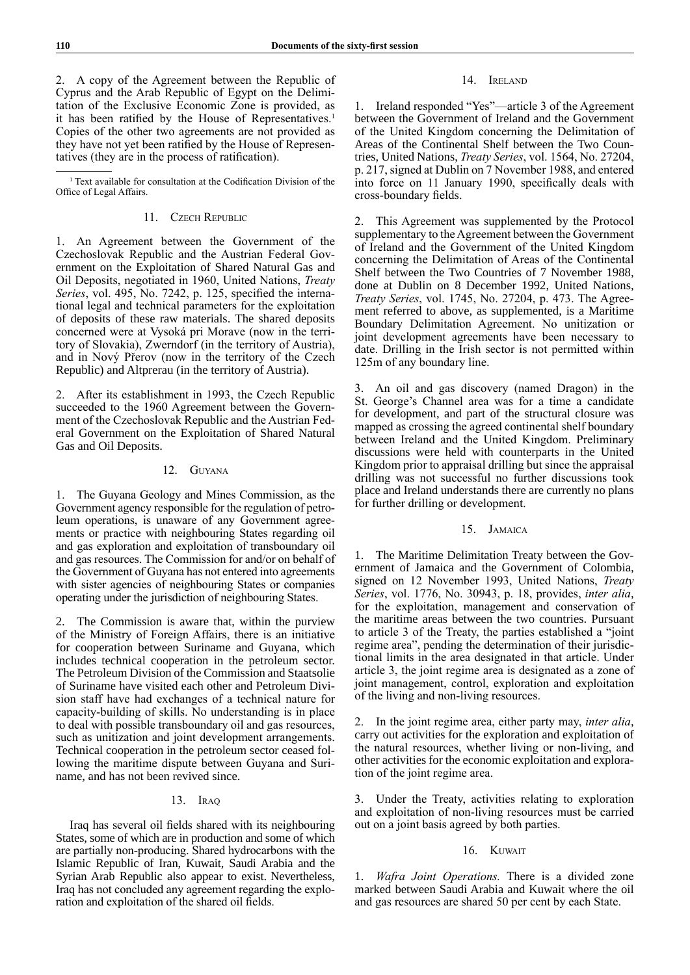2. A copy of the Agreement between the Republic of Cyprus and the Arab Republic of Egypt on the Delimitation of the Exclusive Economic Zone is provided, as it has been ratified by the House of Representatives.<sup>1</sup> Copies of the other two agreements are not provided as they have not yet been ratified by the House of Representatives (they are in the process of ratification).

<sup>1</sup> Text available for consultation at the Codification Division of the Office of Legal Affairs.

# 11. Czech Republic

1. An Agreement between the Government of the Czechoslovak Republic and the Austrian Federal Government on the Exploitation of Shared Natural Gas and Oil Deposits, negotiated in 1960, United Nations, *Treaty Series*, vol. 495, No. 7242, p. 125, specified the international legal and technical parameters for the exploitation of deposits of these raw materials. The shared deposits concerned were at Vysoká pri Morave (now in the territory of Slovakia), Zwerndorf (in the territory of Austria), and in Nový Přerov (now in the territory of the Czech Republic) and Altprerau (in the territory of Austria).

2. After its establishment in 1993, the Czech Republic succeeded to the 1960 Agreement between the Government of the Czechoslovak Republic and the Austrian Federal Government on the Exploitation of Shared Natural Gas and Oil Deposits.

# 12. Guyana

1. The Guyana Geology and Mines Commission, as the Government agency responsible for the regulation of petroleum operations, is unaware of any Government agreements or practice with neighbouring States regarding oil and gas exploration and exploitation of transboundary oil and gas resources. The Commission for and/or on behalf of the Government of Guyana has not entered into agreements with sister agencies of neighbouring States or companies operating under the jurisdiction of neighbouring States.

2. The Commission is aware that, within the purview of the Ministry of Foreign Affairs, there is an initiative for cooperation between Suriname and Guyana, which includes technical cooperation in the petroleum sector. The Petroleum Division of the Commission and Staatsolie of Suriname have visited each other and Petroleum Division staff have had exchanges of a technical nature for capacity-building of skills. No understanding is in place to deal with possible transboundary oil and gas resources, such as unitization and joint development arrangements. Technical cooperation in the petroleum sector ceased following the maritime dispute between Guyana and Suriname, and has not been revived since.

# 13. Iraq

Iraq has several oil fields shared with its neighbouring States, some of which are in production and some of which are partially non-producing. Shared hydrocarbons with the Islamic Republic of Iran, Kuwait, Saudi Arabia and the Syrian Arab Republic also appear to exist. Nevertheless, Iraq has not concluded any agreement regarding the exploration and exploitation of the shared oil fields.

# 14. Ireland

1. Ireland responded "Yes"—article 3 of the Agreement between the Government of Ireland and the Government of the United Kingdom concerning the Delimitation of Areas of the Continental Shelf between the Two Countries, United Nations, *Treaty Series*, vol. 1564, No. 27204, p. 217, signed at Dublin on 7 November 1988, and entered into force on 11 January 1990, specifically deals with cross-boundary fields.

2. This Agreement was supplemented by the Protocol supplementary to the Agreement between the Government of Ireland and the Government of the United Kingdom concerning the Delimitation of Areas of the Continental Shelf between the Two Countries of 7 November 1988, done at Dublin on 8 December 1992, United Nations, *Treaty Series*, vol. 1745, No. 27204, p. 473. The Agreement referred to above, as supplemented, is a Maritime Boundary Delimitation Agreement. No unitization or joint development agreements have been necessary to date. Drilling in the Irish sector is not permitted within 125m of any boundary line.

An oil and gas discovery (named Dragon) in the St. George's Channel area was for a time a candidate for development, and part of the structural closure was mapped as crossing the agreed continental shelf boundary between Ireland and the United Kingdom. Preliminary discussions were held with counterparts in the United Kingdom prior to appraisal drilling but since the appraisal drilling was not successful no further discussions took place and Ireland understands there are currently no plans for further drilling or development.

# 15. Jamaica

The Maritime Delimitation Treaty between the Government of Jamaica and the Government of Colombia, signed on 12 November 1993, United Nations, *Treaty Series*, vol. 1776, No. 30943, p. 18, provides, *inter alia*, for the exploitation, management and conservation of the maritime areas between the two countries. Pursuant to article 3 of the Treaty, the parties established a "joint regime area", pending the determination of their jurisdictional limits in the area designated in that article. Under article 3, the joint regime area is designated as a zone of joint management, control, exploration and exploitation of the living and non-living resources.

2. In the joint regime area, either party may, *inter alia*, carry out activities for the exploration and exploitation of the natural resources, whether living or non-living, and other activities for the economic exploitation and exploration of the joint regime area.

3. Under the Treaty, activities relating to exploration and exploitation of non‑living resources must be carried out on a joint basis agreed by both parties.

# 16. Kuwait

1. *Wafra Joint Operations.* There is a divided zone marked between Saudi Arabia and Kuwait where the oil and gas resources are shared 50 per cent by each State.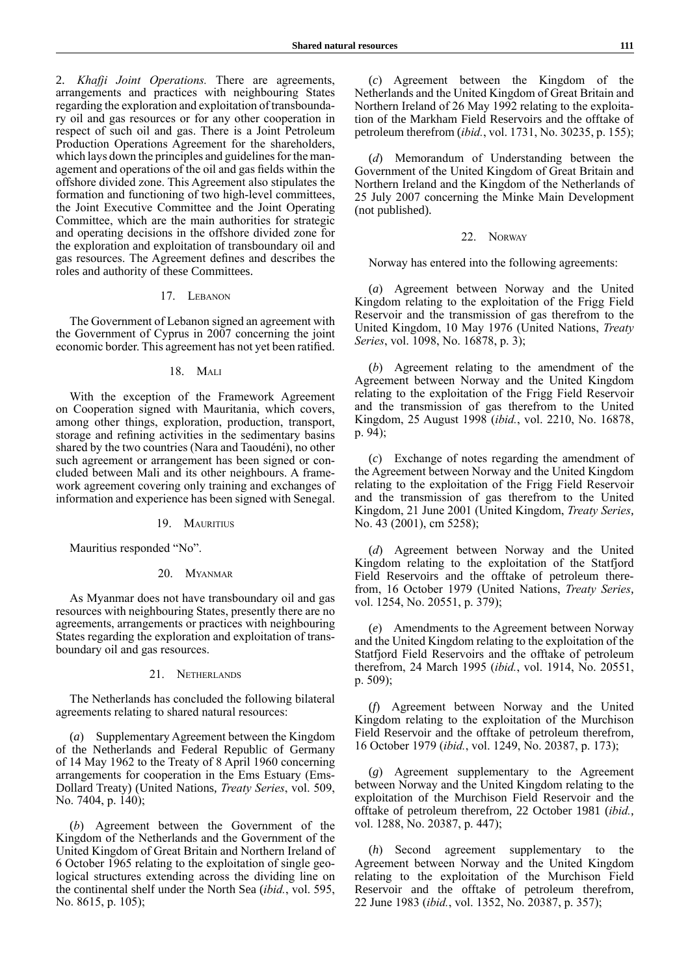2. *Khafji Joint Operations.* There are agreements, arrangements and practices with neighbouring States regarding the exploration and exploitation of transboundary oil and gas resources or for any other cooperation in respect of such oil and gas. There is a Joint Petroleum Production Operations Agreement for the shareholders, which lays down the principles and guidelines for the management and operations of the oil and gas fields within the offshore divided zone. This Agreement also stipulates the formation and functioning of two high-level committees, the Joint Executive Committee and the Joint Operating Committee, which are the main authorities for strategic and operating decisions in the offshore divided zone for the exploration and exploitation of transboundary oil and gas resources. The Agreement defines and describes the roles and authority of these Committees.

# 17. Lebanon

The Government of Lebanon signed an agreement with the Government of Cyprus in 2007 concerning the joint economic border. This agreement has not yet been ratified.

### 18. Mali

With the exception of the Framework Agreement on Cooperation signed with Mauritania, which covers, among other things, exploration, production, transport, storage and refining activities in the sedimentary basins shared by the two countries (Nara and Taoudéni), no other such agreement or arrangement has been signed or concluded between Mali and its other neighbours. A framework agreement covering only training and exchanges of information and experience has been signed with Senegal.

#### 19. MAURITIUS

Mauritius responded "No".

#### 20. Myanmar

As Myanmar does not have transboundary oil and gas resources with neighbouring States, presently there are no agreements, arrangements or practices with neighbouring States regarding the exploration and exploitation of transboundary oil and gas resources.

#### 21. Netherlands

The Netherlands has concluded the following bilateral agreements relating to shared natural resources:

(*a*) Supplementary Agreement between the Kingdom of the Netherlands and Federal Republic of Germany of 14 May 1962 to the Treaty of 8 April 1960 concerning arrangements for cooperation in the Ems Estuary (Ems-Dollard Treaty) (United Nations, *Treaty Series*, vol. 509, No. 7404, p. 140);

(*b*) Agreement between the Government of the Kingdom of the Netherlands and the Government of the United Kingdom of Great Britain and Northern Ireland of 6 October 1965 relating to the exploitation of single geological structures extending across the dividing line on the continental shelf under the North Sea (*ibid.*, vol. 595, No. 8615, p. 105);

(*c*) Agreement between the Kingdom of the Netherlands and the United Kingdom of Great Britain and Northern Ireland of 26 May 1992 relating to the exploitation of the Markham Field Reservoirs and the offtake of petroleum therefrom (*ibid.*, vol. 1731, No. 30235, p. 155);

(*d*) Memorandum of Understanding between the Government of the United Kingdom of Great Britain and Northern Ireland and the Kingdom of the Netherlands of 25 July 2007 concerning the Minke Main Development (not published).

### 22. Norway

Norway has entered into the following agreements:

(*a*) Agreement between Norway and the United Kingdom relating to the exploitation of the Frigg Field Reservoir and the transmission of gas therefrom to the United Kingdom, 10 May 1976 (United Nations, *Treaty Series*, vol. 1098, No. 16878, p. 3);

(*b*) Agreement relating to the amendment of the Agreement between Norway and the United Kingdom relating to the exploitation of the Frigg Field Reservoir and the transmission of gas therefrom to the United Kingdom, 25 August 1998 (*ibid.*, vol. 2210, No. 16878, p. 94);

(*c*) Exchange of notes regarding the amendment of the Agreement between Norway and the United Kingdom relating to the exploitation of the Frigg Field Reservoir and the transmission of gas therefrom to the United Kingdom, 21 June 2001 (United Kingdom, *Treaty Series*, No. 43 (2001), cm 5258);

(*d*) Agreement between Norway and the United Kingdom relating to the exploitation of the Statfjord Field Reservoirs and the offtake of petroleum therefrom, 16 October 1979 (United Nations, *Treaty Series*, vol. 1254, No. 20551, p. 379);

(*e*) Amendments to the Agreement between Norway and the United Kingdom relating to the exploitation of the Statfjord Field Reservoirs and the offtake of petroleum therefrom, 24 March 1995 (*ibid.*, vol. 1914, No. 20551, p. 509);

(*f*) Agreement between Norway and the United Kingdom relating to the exploitation of the Murchison Field Reservoir and the offtake of petroleum therefrom, 16 October 1979 (*ibid.*, vol. 1249, No. 20387, p. 173);

(*g*) Agreement supplementary to the Agreement between Norway and the United Kingdom relating to the exploitation of the Murchison Field Reservoir and the offtake of petroleum therefrom, 22 October 1981 (*ibid.*, vol. 1288, No. 20387, p. 447);

(*h*) Second agreement supplementary to the Agreement between Norway and the United Kingdom relating to the exploitation of the Murchison Field Reservoir and the offtake of petroleum therefrom, 22 June 1983 (*ibid.*, vol. 1352, No. 20387, p. 357);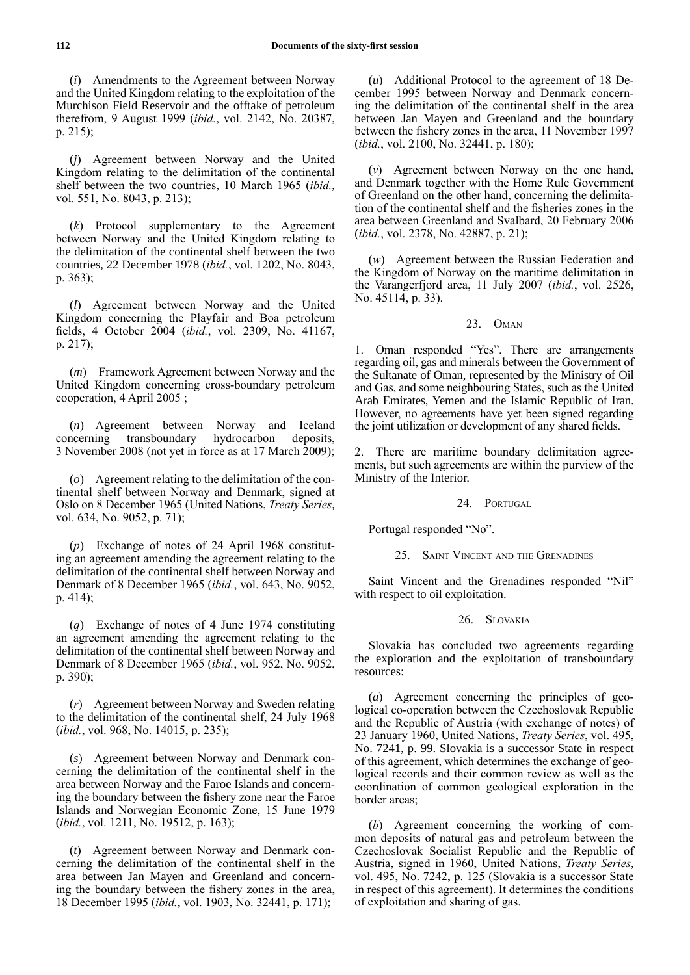(*i*) Amendments to the Agreement between Norway and the United Kingdom relating to the exploitation of the Murchison Field Reservoir and the offtake of petroleum therefrom, 9 August 1999 (*ibid.*, vol. 2142, No. 20387, p. 215);

(*j*) Agreement between Norway and the United Kingdom relating to the delimitation of the continental shelf between the two countries, 10 March 1965 (*ibid.*, vol. 551, No. 8043, p. 213);

(*k*) Protocol supplementary to the Agreement between Norway and the United Kingdom relating to the delimitation of the continental shelf between the two countries, 22 December 1978 (*ibid.*, vol. 1202, No. 8043, p. 363);

(*l*) Agreement between Norway and the United Kingdom concerning the Playfair and Boa petroleum fields, 4 October 2004 (*ibid.*, vol. 2309, No. 41167, p. 217);

(*m*) Framework Agreement between Norway and the United Kingdom concerning cross-boundary petroleum cooperation, 4 April 2005 ;

(*n*) Agreement between Norway and Iceland concerning transboundary hydrocarbon deposits, 3 November 2008 (not yet in force as at 17 March 2009);

(*o*) Agreement relating to the delimitation of the continental shelf between Norway and Denmark, signed at Oslo on 8 December 1965 (United Nations, *Treaty Series*, vol. 634, No. 9052, p. 71);

(*p*) Exchange of notes of 24 April 1968 constituting an agreement amending the agreement relating to the delimitation of the continental shelf between Norway and Denmark of 8 December 1965 (*ibid.*, vol. 643, No. 9052, p. 414);

(*q*) Exchange of notes of 4 June 1974 constituting an agreement amending the agreement relating to the delimitation of the continental shelf between Norway and Denmark of 8 December 1965 (*ibid.*, vol. 952, No. 9052, p. 390);

(*r*) Agreement between Norway and Sweden relating to the delimitation of the continental shelf, 24 July 1968 (*ibid.*, vol. 968, No. 14015, p. 235);

(*s*) Agreement between Norway and Denmark concerning the delimitation of the continental shelf in the area between Norway and the Faroe Islands and concerning the boundary between the fishery zone near the Faroe Islands and Norwegian Economic Zone, 15 June 1979 (*ibid.*, vol. 1211, No. 19512, p. 163);

(*t*) Agreement between Norway and Denmark concerning the delimitation of the continental shelf in the area between Jan Mayen and Greenland and concerning the boundary between the fishery zones in the area, 18 December 1995 (*ibid.*, vol. 1903, No. 32441, p. 171);

(*u*) Additional Protocol to the agreement of 18 December 1995 between Norway and Denmark concerning the delimitation of the continental shelf in the area between Jan Mayen and Greenland and the boundary between the fishery zones in the area, 11 November 1997 (*ibid.*, vol. 2100, No. 32441, p. 180);

(*v*) Agreement between Norway on the one hand, and Denmark together with the Home Rule Government of Greenland on the other hand, concerning the delimitation of the continental shelf and the fisheries zones in the area between Greenland and Svalbard, 20 February 2006 (*ibid.*, vol. 2378, No. 42887, p. 21);

(*w*) Agreement between the Russian Federation and the Kingdom of Norway on the maritime delimitation in the Varangerfjord area, 11 July 2007 (*ibid.*, vol. 2526, No. 45114, p. 33).

# 23. Oman

1. Oman responded "Yes". There are arrangements regarding oil, gas and minerals between the Government of the Sultanate of Oman, represented by the Ministry of Oil and Gas, and some neighbouring States, such as the United Arab Emirates, Yemen and the Islamic Republic of Iran. However, no agreements have yet been signed regarding the joint utilization or development of any shared fields.

2. There are maritime boundary delimitation agreements, but such agreements are within the purview of the Ministry of the Interior.

### 24. PORTUGAL

Portugal responded "No".

25. SAINT VINCENT AND THE GRENADINES

Saint Vincent and the Grenadines responded "Nil" with respect to oil exploitation.

### 26. Slovakia

Slovakia has concluded two agreements regarding the exploration and the exploitation of transboundary resources:

(*a*) Agreement concerning the principles of geological co-operation between the Czechoslovak Republic and the Republic of Austria (with exchange of notes) of 23 January 1960, United Nations, *Treaty Series*, vol. 495, No. 7241, p. 99. Slovakia is a successor State in respect of this agreement, which determines the exchange of geological records and their common review as well as the coordination of common geological exploration in the border areas;

(*b*) Agreement concerning the working of common deposits of natural gas and petroleum between the Czechoslovak Socialist Republic and the Republic of Austria, signed in 1960, United Nations, *Treaty Series*, vol. 495, No. 7242, p. 125 (Slovakia is a successor State in respect of this agreement). It determines the conditions of exploitation and sharing of gas.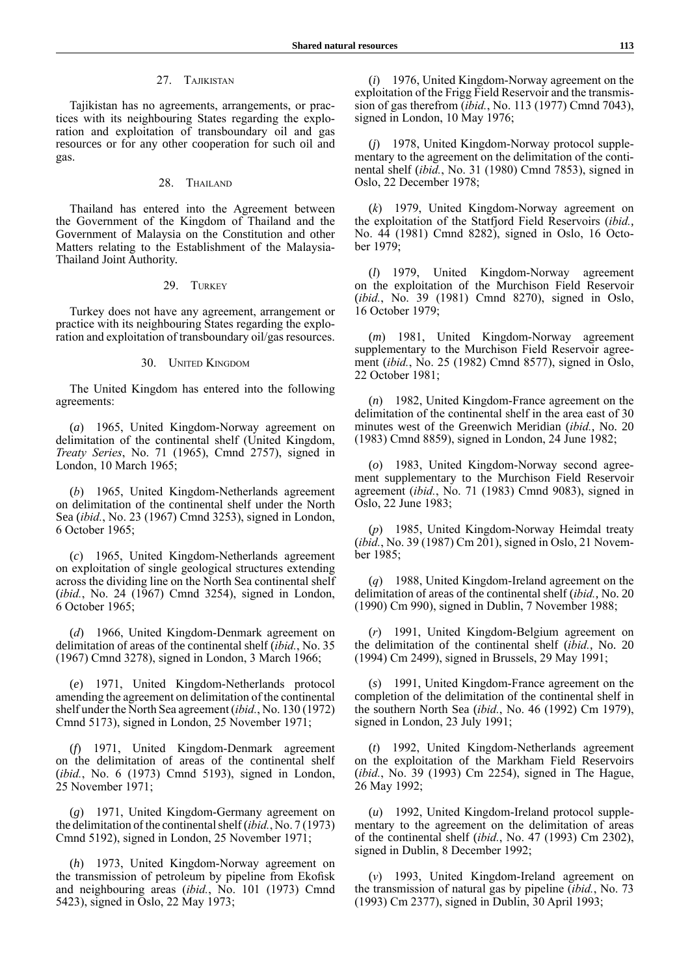### 27. Tajikistan

Tajikistan has no agreements, arrangements, or practices with its neighbouring States regarding the exploration and exploitation of transboundary oil and gas resources or for any other cooperation for such oil and gas.

# 28. THAILAND

Thailand has entered into the Agreement between the Government of the Kingdom of Thailand and the Government of Malaysia on the Constitution and other Matters relating to the Establishment of the Malaysia-Thailand Joint Authority.

# 29. TURKEY

Turkey does not have any agreement, arrangement or practice with its neighbouring States regarding the exploration and exploitation of transboundary oil/gas resources.

### 30. United Kingdom

The United Kingdom has entered into the following agreements:

(*a*) 1965, United Kingdom-Norway agreement on delimitation of the continental shelf (United Kingdom, *Treaty Series*, No. 71 (1965), Cmnd 2757), signed in London, 10 March 1965;

(*b*) 1965, United Kingdom-Netherlands agreement on delimitation of the continental shelf under the North Sea (*ibid.*, No. 23 (1967) Cmnd 3253), signed in London, 6 October 1965;

(*c*) 1965, United Kingdom-Netherlands agreement on exploitation of single geological structures extending across the dividing line on the North Sea continental shelf (*ibid.*, No. 24 (1967) Cmnd 3254), signed in London, 6 October 1965;

(*d*) 1966, United Kingdom-Denmark agreement on delimitation of areas of the continental shelf (*ibid.*, No. 35 (1967) Cmnd 3278), signed in London, 3 March 1966;

(*e*) 1971, United Kingdom-Netherlands protocol amending the agreement on delimitation of the continental shelf under the North Sea agreement (*ibid.*, No. 130 (1972) Cmnd 5173), signed in London, 25 November 1971;

(*f*) 1971, United Kingdom-Denmark agreement on the delimitation of areas of the continental shelf (*ibid.*, No. 6 (1973) Cmnd 5193), signed in London, 25 November 1971;

(*g*) 1971, United Kingdom-Germany agreement on the delimitation of the continental shelf (*ibid.*, No. 7 (1973) Cmnd 5192), signed in London, 25 November 1971;

(*h*) 1973, United Kingdom-Norway agreement on the transmission of petroleum by pipeline from Ekofisk and neighbouring areas (*ibid.*, No. 101 (1973) Cmnd 5423), signed in Oslo, 22 May 1973;

(*i*) 1976, United Kingdom-Norway agreement on the exploitation of the Frigg Field Reservoir and the transmission of gas therefrom (*ibid.*, No. 113 (1977) Cmnd 7043), signed in London, 10 May 1976;

(*j*) 1978, United Kingdom-Norway protocol supplementary to the agreement on the delimitation of the continental shelf (*ibid.*, No. 31 (1980) Cmnd 7853), signed in Oslo, 22 December 1978;

(*k*) 1979, United Kingdom-Norway agreement on the exploitation of the Statfjord Field Reservoirs (*ibid.*, No. 44 (1981) Cmnd 8282), signed in Oslo, 16 October 1979;

(*l*) 1979, United Kingdom-Norway agreement on the exploitation of the Murchison Field Reservoir (*ibid.*, No. 39 (1981) Cmnd 8270), signed in Oslo, 16 October 1979;

(*m*) 1981, United Kingdom-Norway agreement supplementary to the Murchison Field Reservoir agreement (*ibid.*, No. 25 (1982) Cmnd 8577), signed in Oslo, 22 October 1981;

(*n*) 1982, United Kingdom-France agreement on the delimitation of the continental shelf in the area east of 30 minutes west of the Greenwich Meridian (*ibid.*, No. 20 (1983) Cmnd 8859), signed in London, 24 June 1982;

(*o*) 1983, United Kingdom-Norway second agreement supplementary to the Murchison Field Reservoir agreement (*ibid.*, No. 71 (1983) Cmnd 9083), signed in Oslo, 22 June 1983;

(*p*) 1985, United Kingdom-Norway Heimdal treaty (*ibid.*, No. 39 (1987) Cm 201), signed in Oslo, 21 November 1985;

(*q*) 1988, United Kingdom-Ireland agreement on the delimitation of areas of the continental shelf (*ibid.*, No. 20 (1990) Cm 990), signed in Dublin, 7 November 1988;

(*r*) 1991, United Kingdom-Belgium agreement on the delimitation of the continental shelf (*ibid.*, No. 20 (1994) Cm 2499), signed in Brussels, 29 May 1991;

(*s*) 1991, United Kingdom-France agreement on the completion of the delimitation of the continental shelf in the southern North Sea (*ibid.*, No. 46 (1992) Cm 1979), signed in London, 23 July 1991;

(*t*) 1992, United Kingdom-Netherlands agreement on the exploitation of the Markham Field Reservoirs (*ibid.*, No. 39 (1993) Cm 2254), signed in The Hague, 26 May 1992;

(*u*) 1992, United Kingdom-Ireland protocol supplementary to the agreement on the delimitation of areas of the continental shelf (*ibid.*, No. 47 (1993) Cm 2302), signed in Dublin, 8 December 1992;

(*v*) 1993, United Kingdom-Ireland agreement on the transmission of natural gas by pipeline (*ibid.*, No. 73 (1993) Cm 2377), signed in Dublin, 30 April 1993;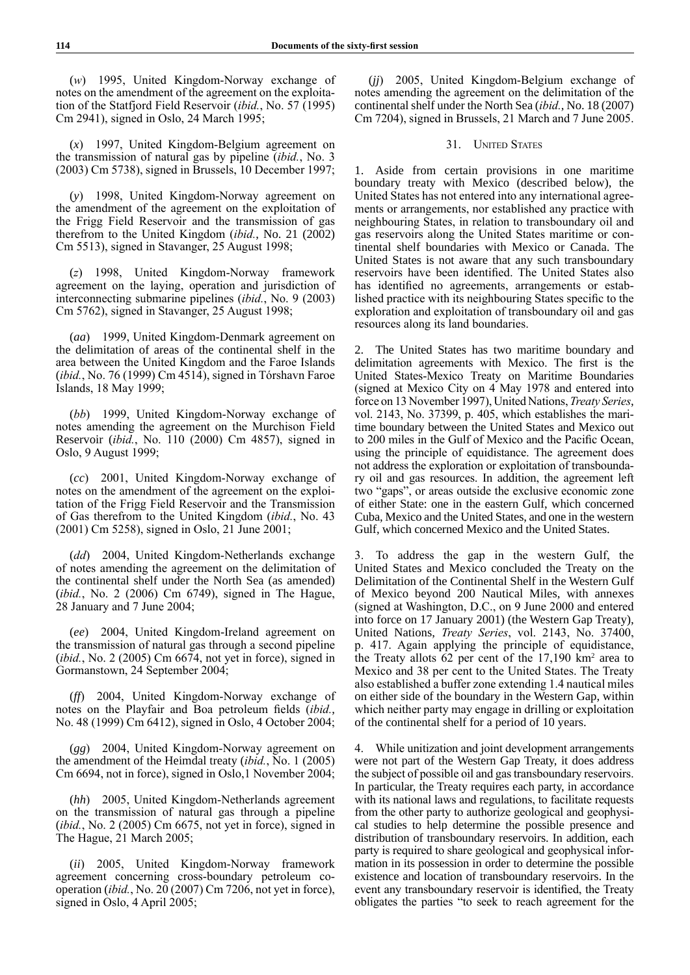(*w*) 1995, United Kingdom-Norway exchange of notes on the amendment of the agreement on the exploitation of the Statfjord Field Reservoir (*ibid.*, No. 57 (1995) Cm 2941), signed in Oslo, 24 March 1995;

(*x*) 1997, United Kingdom-Belgium agreement on the transmission of natural gas by pipeline (*ibid.*, No. 3 (2003) Cm 5738), signed in Brussels, 10 December 1997;

(*y*) 1998, United Kingdom-Norway agreement on the amendment of the agreement on the exploitation of the Frigg Field Reservoir and the transmission of gas therefrom to the United Kingdom (*ibid.*, No. 21 (2002) Cm 5513), signed in Stavanger, 25 August 1998;

(*z*) 1998, United Kingdom-Norway framework agreement on the laying, operation and jurisdiction of interconnecting submarine pipelines (*ibid.*, No. 9 (2003) Cm 5762), signed in Stavanger, 25 August 1998;

(*aa*) 1999, United Kingdom-Denmark agreement on the delimitation of areas of the continental shelf in the area between the United Kingdom and the Faroe Islands (*ibid.*, No. 76 (1999) Cm 4514), signed in Tórshavn Faroe Islands, 18 May 1999;

(*bb*) 1999, United Kingdom-Norway exchange of notes amending the agreement on the Murchison Field Reservoir (*ibid.*, No. 110 (2000) Cm 4857), signed in Oslo, 9 August 1999;

(*cc*) 2001, United Kingdom-Norway exchange of notes on the amendment of the agreement on the exploitation of the Frigg Field Reservoir and the Transmission of Gas therefrom to the United Kingdom (*ibid.*, No. 43 (2001) Cm 5258), signed in Oslo, 21 June 2001;

(*dd*) 2004, United Kingdom-Netherlands exchange of notes amending the agreement on the delimitation of the continental shelf under the North Sea (as amended) (*ibid.*, No. 2 (2006) Cm 6749), signed in The Hague, 28 January and 7 June 2004;

(*ee*) 2004, United Kingdom-Ireland agreement on the transmission of natural gas through a second pipeline (*ibid.*, No. 2 (2005) Cm 6674, not yet in force), signed in Gormanstown, 24 September 2004;

(*ff*) 2004, United Kingdom-Norway exchange of notes on the Playfair and Boa petroleum fields (*ibid.*, No. 48 (1999) Cm 6412), signed in Oslo, 4 October 2004;

(*gg*) 2004, United Kingdom-Norway agreement on the amendment of the Heimdal treaty (*ibid.*, No. 1 (2005) Cm 6694, not in force), signed in Oslo,1 November 2004;

(*hh*) 2005, United Kingdom-Netherlands agreement on the transmission of natural gas through a pipeline (*ibid.*, No. 2 (2005) Cm 6675, not yet in force), signed in The Hague, 21 March 2005;

(*ii*) 2005, United Kingdom-Norway framework agreement concerning cross-boundary petroleum cooperation (*ibid.*, No. 20 (2007) Cm 7206, not yet in force), signed in Oslo, 4 April 2005;

(*jj*) 2005, United Kingdom-Belgium exchange of notes amending the agreement on the delimitation of the continental shelf under the North Sea (*ibid.*, No. 18 (2007) Cm 7204), signed in Brussels, 21 March and 7 June 2005.

# 31. UNITED STATES

1. Aside from certain provisions in one maritime boundary treaty with Mexico (described below), the United States has not entered into any international agreements or arrangements, nor established any practice with neighbouring States, in relation to transboundary oil and gas reservoirs along the United States maritime or continental shelf boundaries with Mexico or Canada. The United States is not aware that any such transboundary reservoirs have been identified. The United States also has identified no agreements, arrangements or established practice with its neighbouring States specific to the exploration and exploitation of transboundary oil and gas resources along its land boundaries.

The United States has two maritime boundary and delimitation agreements with Mexico. The first is the United States-Mexico Treaty on Maritime Boundaries (signed at Mexico City on 4 May 1978 and entered into force on 13 November 1997), United Nations, *Treaty Series*, vol. 2143, No. 37399, p. 405, which establishes the maritime boundary between the United States and Mexico out to 200 miles in the Gulf of Mexico and the Pacific Ocean, using the principle of equidistance. The agreement does not address the exploration or exploitation of transboundary oil and gas resources. In addition, the agreement left two "gaps", or areas outside the exclusive economic zone of either State: one in the eastern Gulf, which concerned Cuba, Mexico and the United States, and one in the western Gulf, which concerned Mexico and the United States.

3. To address the gap in the western Gulf, the United States and Mexico concluded the Treaty on the Delimitation of the Continental Shelf in the Western Gulf of Mexico beyond 200 Nautical Miles, with annexes (signed at Washington, D.C., on 9 June 2000 and entered into force on 17 January 2001) (the Western Gap Treaty), United Nations, *Treaty Series*, vol. 2143, No. 37400, p. 417. Again applying the principle of equidistance, the Treaty allots 62 per cent of the  $17,190 \text{ km}^2$  area to Mexico and 38 per cent to the United States. The Treaty also established a buffer zone extending 1.4 nautical miles on either side of the boundary in the Western Gap, within which neither party may engage in drilling or exploitation of the continental shelf for a period of 10 years.

4. While unitization and joint development arrangements were not part of the Western Gap Treaty, it does address the subject of possible oil and gas transboundary reservoirs. In particular, the Treaty requires each party, in accordance with its national laws and regulations, to facilitate requests from the other party to authorize geological and geophysical studies to help determine the possible presence and distribution of transboundary reservoirs. In addition, each party is required to share geological and geophysical information in its possession in order to determine the possible existence and location of transboundary reservoirs. In the event any transboundary reservoir is identified, the Treaty obligates the parties "to seek to reach agreement for the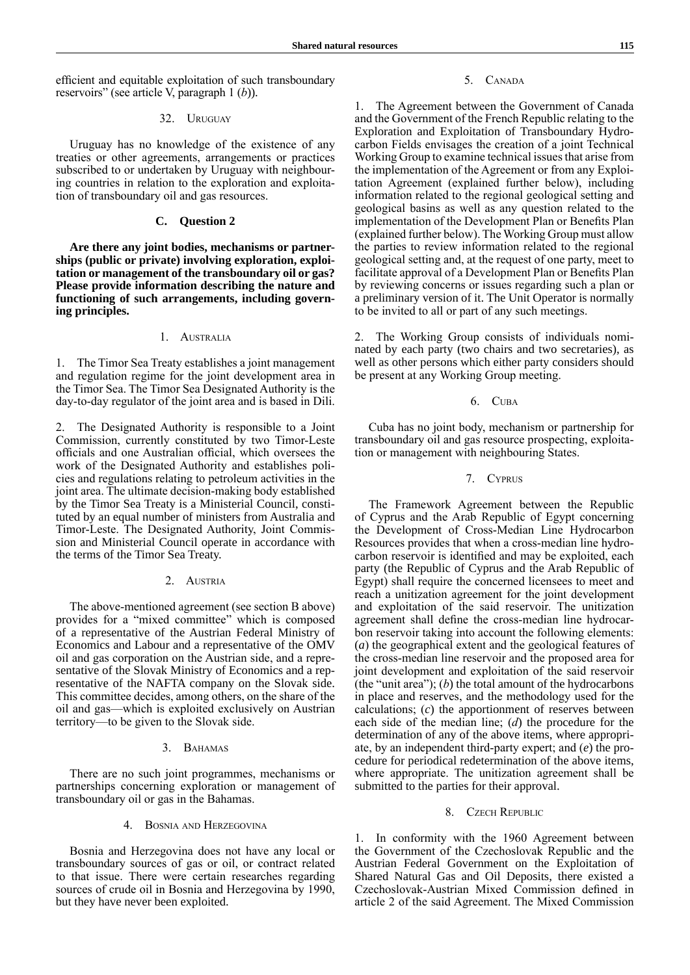efficient and equitable exploitation of such transboundary reservoirs" (see article V, paragraph 1 (*b*)).

### 32. Uruguay

Uruguay has no knowledge of the existence of any treaties or other agreements, arrangements or practices subscribed to or undertaken by Uruguay with neighbouring countries in relation to the exploration and exploitation of transboundary oil and gas resources.

### **C. Question 2**

**Are there any joint bodies, mechanisms or partnerships (public or private) involving exploration, exploitation or management of the transboundary oil or gas? Please provide information describing the nature and functioning of such arrangements, including governing principles.**

# 1. Australia

1. The Timor Sea Treaty establishes a joint management and regulation regime for the joint development area in the Timor Sea. The Timor Sea Designated Authority is the day-to-day regulator of the joint area and is based in Dili.

2. The Designated Authority is responsible to a Joint Commission, currently constituted by two Timor-Leste officials and one Australian official, which oversees the work of the Designated Authority and establishes policies and regulations relating to petroleum activities in the joint area. The ultimate decision-making body established by the Timor Sea Treaty is a Ministerial Council, constituted by an equal number of ministers from Australia and Timor-Leste. The Designated Authority, Joint Commission and Ministerial Council operate in accordance with the terms of the Timor Sea Treaty.

### 2. Austria

The above-mentioned agreement (see section B above) provides for a "mixed committee" which is composed of a representative of the Austrian Federal Ministry of Economics and Labour and a representative of the OMV oil and gas corporation on the Austrian side, and a representative of the Slovak Ministry of Economics and a representative of the NAFTA company on the Slovak side. This committee decides, among others, on the share of the oil and gas—which is exploited exclusively on Austrian territory—to be given to the Slovak side.

#### 3. BAHAMAS

There are no such joint programmes, mechanisms or partnerships concerning exploration or management of transboundary oil or gas in the Bahamas.

#### 4. Bosnia and Herzegovina

Bosnia and Herzegovina does not have any local or transboundary sources of gas or oil, or contract related to that issue. There were certain researches regarding sources of crude oil in Bosnia and Herzegovina by 1990, but they have never been exploited.

# 5. CANADA

1. The Agreement between the Government of Canada and the Government of the French Republic relating to the Exploration and Exploitation of Transboundary Hydrocarbon Fields envisages the creation of a joint Technical Working Group to examine technical issues that arise from the implementation of the Agreement or from any Exploitation Agreement (explained further below), including information related to the regional geological setting and geological basins as well as any question related to the implementation of the Development Plan or Benefits Plan (explained further below). The Working Group must allow the parties to review information related to the regional geological setting and, at the request of one party, meet to facilitate approval of a Development Plan or Benefits Plan by reviewing concerns or issues regarding such a plan or a preliminary version of it. The Unit Operator is normally to be invited to all or part of any such meetings.

2. The Working Group consists of individuals nominated by each party (two chairs and two secretaries), as well as other persons which either party considers should be present at any Working Group meeting.

# 6. Cuba

Cuba has no joint body, mechanism or partnership for transboundary oil and gas resource prospecting, exploitation or management with neighbouring States.

# 7. Cyprus

The Framework Agreement between the Republic of Cyprus and the Arab Republic of Egypt concerning the Development of Cross-Median Line Hydrocarbon Resources provides that when a cross-median line hydrocarbon reservoir is identified and may be exploited, each party (the Republic of Cyprus and the Arab Republic of Egypt) shall require the concerned licensees to meet and reach a unitization agreement for the joint development and exploitation of the said reservoir. The unitization agreement shall define the cross-median line hydrocarbon reservoir taking into account the following elements: (*a*) the geographical extent and the geological features of the cross-median line reservoir and the proposed area for joint development and exploitation of the said reservoir (the "unit area"); (*b*) the total amount of the hydrocarbons in place and reserves, and the methodology used for the calculations; (*c*) the apportionment of reserves between each side of the median line; (*d*) the procedure for the determination of any of the above items, where appropriate, by an independent third-party expert; and (*e*) the procedure for periodical redetermination of the above items, where appropriate. The unitization agreement shall be submitted to the parties for their approval.

### 8. Czech Republic

1. In conformity with the 1960 Agreement between the Government of the Czechoslovak Republic and the Austrian Federal Government on the Exploitation of Shared Natural Gas and Oil Deposits, there existed a Czechoslovak-Austrian Mixed Commission defined in article 2 of the said Agreement. The Mixed Commission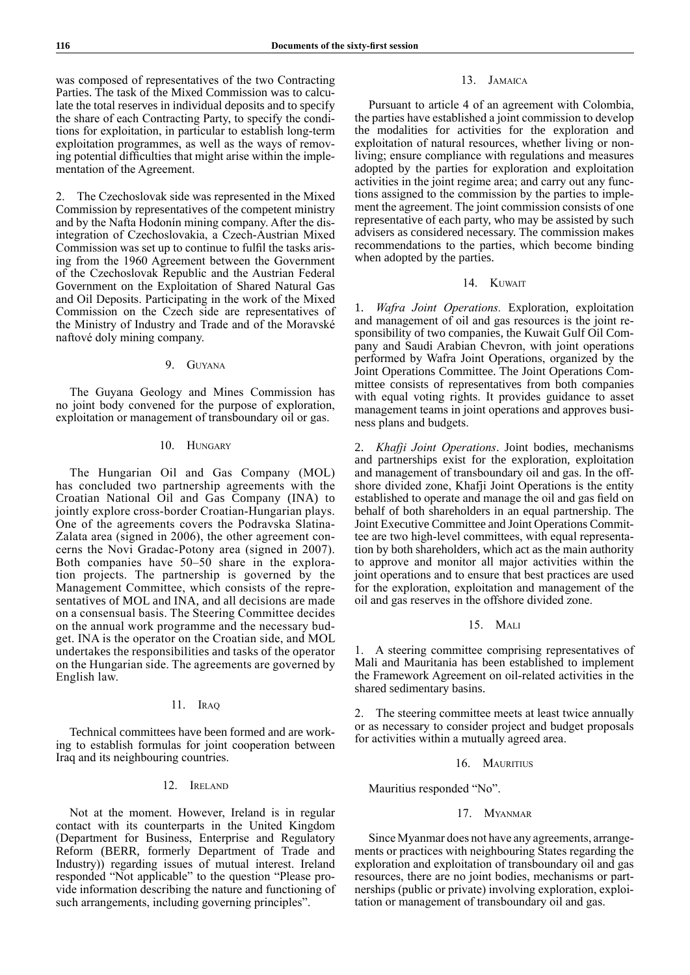was composed of representatives of the two Contracting Parties. The task of the Mixed Commission was to calculate the total reserves in individual deposits and to specify the share of each Contracting Party, to specify the conditions for exploitation, in particular to establish long-term exploitation programmes, as well as the ways of removing potential difficulties that might arise within the implementation of the Agreement.

2. The Czechoslovak side was represented in the Mixed Commission by representatives of the competent ministry and by the Nafta Hodonín mining company. After the disintegration of Czechoslovakia, a Czech-Austrian Mixed Commission was set up to continue to fulfil the tasks arising from the 1960 Agreement between the Government of the Czechoslovak Republic and the Austrian Federal Government on the Exploitation of Shared Natural Gas and Oil Deposits. Participating in the work of the Mixed Commission on the Czech side are representatives of the Ministry of Industry and Trade and of the Moravské naftové doly mining company.

# 9. Guyana

The Guyana Geology and Mines Commission has no joint body convened for the purpose of exploration, exploitation or management of transboundary oil or gas.

### 10. Hungary

The Hungarian Oil and Gas Company (MOL) has concluded two partnership agreements with the Croatian National Oil and Gas Company (INA) to jointly explore cross-border Croatian-Hungarian plays. One of the agreements covers the Podravska Slatina-Zalata area (signed in 2006), the other agreement concerns the Novi Gradac-Potony area (signed in 2007). Both companies have 50–50 share in the exploration projects. The partnership is governed by the Management Committee, which consists of the representatives of MOL and INA, and all decisions are made on a consensual basis. The Steering Committee decides on the annual work programme and the necessary budget. INA is the operator on the Croatian side, and MOL undertakes the responsibilities and tasks of the operator on the Hungarian side. The agreements are governed by English law.

### 11. Iraq

Technical committees have been formed and are working to establish formulas for joint cooperation between Iraq and its neighbouring countries.

### 12. Ireland

Not at the moment. However, Ireland is in regular contact with its counterparts in the United Kingdom (Department for Business, Enterprise and Regulatory Reform (BERR, formerly Department of Trade and Industry)) regarding issues of mutual interest. Ireland responded "Not applicable" to the question "Please provide information describing the nature and functioning of such arrangements, including governing principles".

# 13. Jamaica

Pursuant to article 4 of an agreement with Colombia, the parties have established a joint commission to develop the modalities for activities for the exploration and exploitation of natural resources, whether living or nonliving; ensure compliance with regulations and measures adopted by the parties for exploration and exploitation activities in the joint regime area; and carry out any functions assigned to the commission by the parties to implement the agreement. The joint commission consists of one representative of each party, who may be assisted by such advisers as considered necessary. The commission makes recommendations to the parties, which become binding when adopted by the parties.

## 14. KUWAIT

1. *Wafra Joint Operations.* Exploration, exploitation and management of oil and gas resources is the joint responsibility of two companies, the Kuwait Gulf Oil Company and Saudi Arabian Chevron, with joint operations performed by Wafra Joint Operations, organized by the Joint Operations Committee. The Joint Operations Committee consists of representatives from both companies with equal voting rights. It provides guidance to asset management teams in joint operations and approves business plans and budgets.

2. *Khafji Joint Operations*. Joint bodies, mechanisms and partnerships exist for the exploration, exploitation and management of transboundary oil and gas. In the offshore divided zone, Khafji Joint Operations is the entity established to operate and manage the oil and gas field on behalf of both shareholders in an equal partnership. The Joint Executive Committee and Joint Operations Committee are two high-level committees, with equal representation by both shareholders, which act as the main authority to approve and monitor all major activities within the joint operations and to ensure that best practices are used for the exploration, exploitation and management of the oil and gas reserves in the offshore divided zone.

### 15. Mali

1. A steering committee comprising representatives of Mali and Mauritania has been established to implement the Framework Agreement on oil-related activities in the shared sedimentary basins.

2. The steering committee meets at least twice annually or as necessary to consider project and budget proposals for activities within a mutually agreed area.

#### 16. MAURITIUS

Mauritius responded "No".

### 17. Myanmar

Since Myanmar does not have any agreements, arrangements or practices with neighbouring States regarding the exploration and exploitation of transboundary oil and gas resources, there are no joint bodies, mechanisms or partnerships (public or private) involving exploration, exploitation or management of transboundary oil and gas.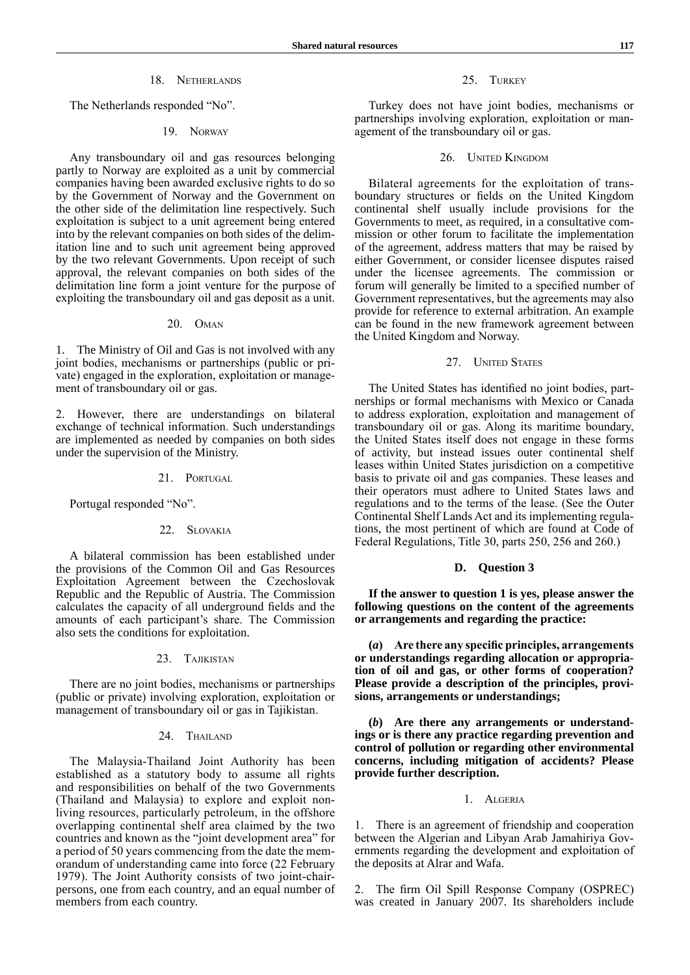# 18. Netherlands

The Netherlands responded "No".

### 19. Norway

Any transboundary oil and gas resources belonging partly to Norway are exploited as a unit by commercial companies having been awarded exclusive rights to do so by the Government of Norway and the Government on the other side of the delimitation line respectively. Such exploitation is subject to a unit agreement being entered into by the relevant companies on both sides of the delimitation line and to such unit agreement being approved by the two relevant Governments. Upon receipt of such approval, the relevant companies on both sides of the delimitation line form a joint venture for the purpose of exploiting the transboundary oil and gas deposit as a unit.

# 20. Oman

1. The Ministry of Oil and Gas is not involved with any joint bodies, mechanisms or partnerships (public or private) engaged in the exploration, exploitation or management of transboundary oil or gas.

2. However, there are understandings on bilateral exchange of technical information. Such understandings are implemented as needed by companies on both sides under the supervision of the Ministry.

### 21. PORTUGAL

Portugal responded "No".

# 22. Slovakia

A bilateral commission has been established under the provisions of the Common Oil and Gas Resources Exploitation Agreement between the Czechoslovak Republic and the Republic of Austria. The Commission calculates the capacity of all underground fields and the amounts of each participant's share. The Commission also sets the conditions for exploitation.

### 23. Tajikistan

There are no joint bodies, mechanisms or partnerships (public or private) involving exploration, exploitation or management of transboundary oil or gas in Tajikistan.

# 24. THAILAND

The Malaysia-Thailand Joint Authority has been established as a statutory body to assume all rights and responsibilities on behalf of the two Governments (Thailand and Malaysia) to explore and exploit nonliving resources, particularly petroleum, in the offshore overlapping continental shelf area claimed by the two countries and known as the "joint development area" for a period of 50 years commencing from the date the memorandum of understanding came into force (22 February 1979). The Joint Authority consists of two joint-chairpersons, one from each country, and an equal number of members from each country.

25. TURKEY

Turkey does not have joint bodies, mechanisms or partnerships involving exploration, exploitation or management of the transboundary oil or gas.

### 26. United Kingdom

Bilateral agreements for the exploitation of transboundary structures or fields on the United Kingdom continental shelf usually include provisions for the Governments to meet, as required, in a consultative commission or other forum to facilitate the implementation of the agreement, address matters that may be raised by either Government, or consider licensee disputes raised under the licensee agreements. The commission or forum will generally be limited to a specified number of Government representatives, but the agreements may also provide for reference to external arbitration. An example can be found in the new framework agreement between the United Kingdom and Norway.

### 27. UNITED STATES

The United States has identified no joint bodies, partnerships or formal mechanisms with Mexico or Canada to address exploration, exploitation and management of transboundary oil or gas. Along its maritime boundary, the United States itself does not engage in these forms of activity, but instead issues outer continental shelf leases within United States jurisdiction on a competitive basis to private oil and gas companies. These leases and their operators must adhere to United States laws and regulations and to the terms of the lease. (See the Outer Continental Shelf Lands Act and its implementing regulations, the most pertinent of which are found at Code of Federal Regulations, Title 30, parts 250, 256 and 260.)

# **D. Question 3**

**If the answer to question 1 is yes, please answer the following questions on the content of the agreements or arrangements and regarding the practice:**

**(***a***) Are there any specific principles, arrangements or understandings regarding allocation or appropriation of oil and gas, or other forms of cooperation? Please provide a description of the principles, provisions, arrangements or understandings;**

**(***b***) Are there any arrangements or understandings or is there any practice regarding prevention and control of pollution or regarding other environmental concerns, including mitigation of accidents? Please provide further description.**

#### 1. Algeria

1. There is an agreement of friendship and cooperation between the Algerian and Libyan Arab Jamahiriya Governments regarding the development and exploitation of the deposits at Alrar and Wafa.

2. The firm Oil Spill Response Company (OSPREC) was created in January 2007. Its shareholders include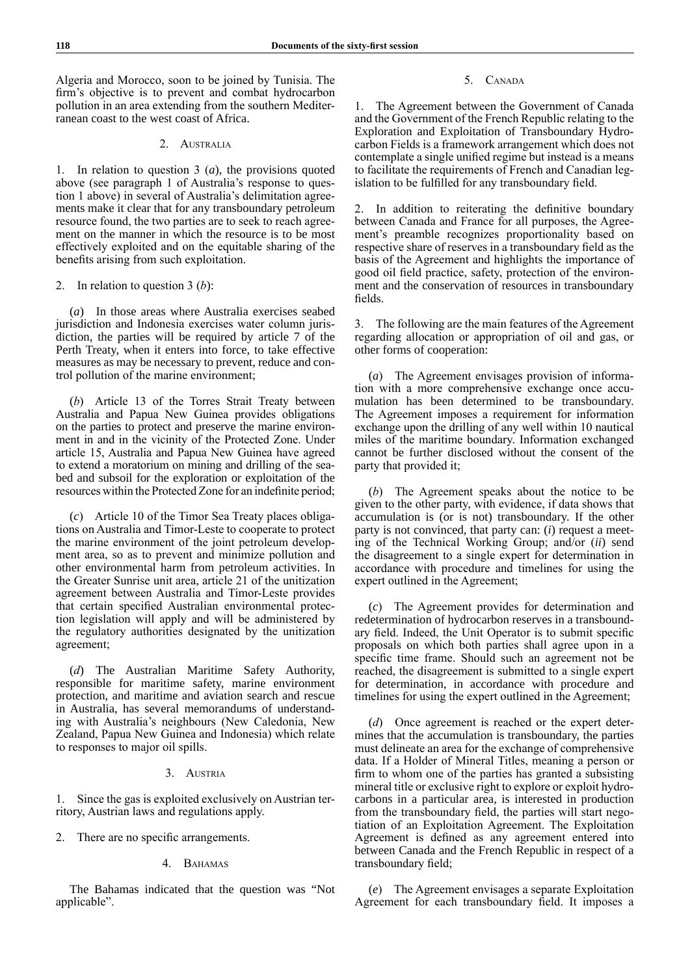Algeria and Morocco, soon to be joined by Tunisia. The firm's objective is to prevent and combat hydrocarbon pollution in an area extending from the southern Mediterranean coast to the west coast of Africa.

# 2. Australia

1. In relation to question 3 (*a*), the provisions quoted above (see paragraph 1 of Australia's response to question 1 above) in several of Australia's delimitation agreements make it clear that for any transboundary petroleum resource found, the two parties are to seek to reach agreement on the manner in which the resource is to be most effectively exploited and on the equitable sharing of the benefits arising from such exploitation.

### 2. In relation to question 3 (*b*):

(*a*) In those areas where Australia exercises seabed jurisdiction and Indonesia exercises water column jurisdiction, the parties will be required by article 7 of the Perth Treaty, when it enters into force, to take effective measures as may be necessary to prevent, reduce and control pollution of the marine environment;

(*b*) Article 13 of the Torres Strait Treaty between Australia and Papua New Guinea provides obligations on the parties to protect and preserve the marine environment in and in the vicinity of the Protected Zone. Under article 15, Australia and Papua New Guinea have agreed to extend a moratorium on mining and drilling of the seabed and subsoil for the exploration or exploitation of the resources within the Protected Zone for an indefinite period;

(*c*) Article 10 of the Timor Sea Treaty places obligations on Australia and Timor-Leste to cooperate to protect the marine environment of the joint petroleum development area, so as to prevent and minimize pollution and other environmental harm from petroleum activities. In the Greater Sunrise unit area, article 21 of the unitization agreement between Australia and Timor-Leste provides that certain specified Australian environmental protection legislation will apply and will be administered by the regulatory authorities designated by the unitization agreement;

(*d*) The Australian Maritime Safety Authority, responsible for maritime safety, marine environment protection, and maritime and aviation search and rescue in Australia, has several memorandums of understanding with Australia's neighbours (New Caledonia, New Zealand, Papua New Guinea and Indonesia) which relate to responses to major oil spills.

### 3. Austria

1. Since the gas is exploited exclusively on Austrian territory, Austrian laws and regulations apply.

2. There are no specific arrangements.

### 4. BAHAMAS

The Bahamas indicated that the question was "Not applicable".

# 5. CANADA

1. The Agreement between the Government of Canada and the Government of the French Republic relating to the Exploration and Exploitation of Transboundary Hydrocarbon Fields is a framework arrangement which does not contemplate a single unified regime but instead is a means to facilitate the requirements of French and Canadian legislation to be fulfilled for any transboundary field.

2. In addition to reiterating the definitive boundary between Canada and France for all purposes, the Agreement's preamble recognizes proportionality based on respective share of reserves in a transboundary field as the basis of the Agreement and highlights the importance of good oil field practice, safety, protection of the environment and the conservation of resources in transboundary fields.

3. The following are the main features of the Agreement regarding allocation or appropriation of oil and gas, or other forms of cooperation:

(*a*) The Agreement envisages provision of information with a more comprehensive exchange once accumulation has been determined to be transboundary. The Agreement imposes a requirement for information exchange upon the drilling of any well within 10 nautical miles of the maritime boundary. Information exchanged cannot be further disclosed without the consent of the party that provided it;

(*b*) The Agreement speaks about the notice to be given to the other party, with evidence, if data shows that accumulation is (or is not) transboundary. If the other party is not convinced, that party can: (*i*) request a meeting of the Technical Working Group; and/or (*ii*) send the disagreement to a single expert for determination in accordance with procedure and timelines for using the expert outlined in the Agreement;

(*c*) The Agreement provides for determination and redetermination of hydrocarbon reserves in a transboundary field. Indeed, the Unit Operator is to submit specific proposals on which both parties shall agree upon in a specific time frame. Should such an agreement not be reached, the disagreement is submitted to a single expert for determination, in accordance with procedure and timelines for using the expert outlined in the Agreement;

(*d*) Once agreement is reached or the expert determines that the accumulation is transboundary, the parties must delineate an area for the exchange of comprehensive data. If a Holder of Mineral Titles, meaning a person or firm to whom one of the parties has granted a subsisting mineral title or exclusive right to explore or exploit hydrocarbons in a particular area, is interested in production from the transboundary field, the parties will start negotiation of an Exploitation Agreement. The Exploitation Agreement is defined as any agreement entered into between Canada and the French Republic in respect of a transboundary field;

(*e*) The Agreement envisages a separate Exploitation Agreement for each transboundary field. It imposes a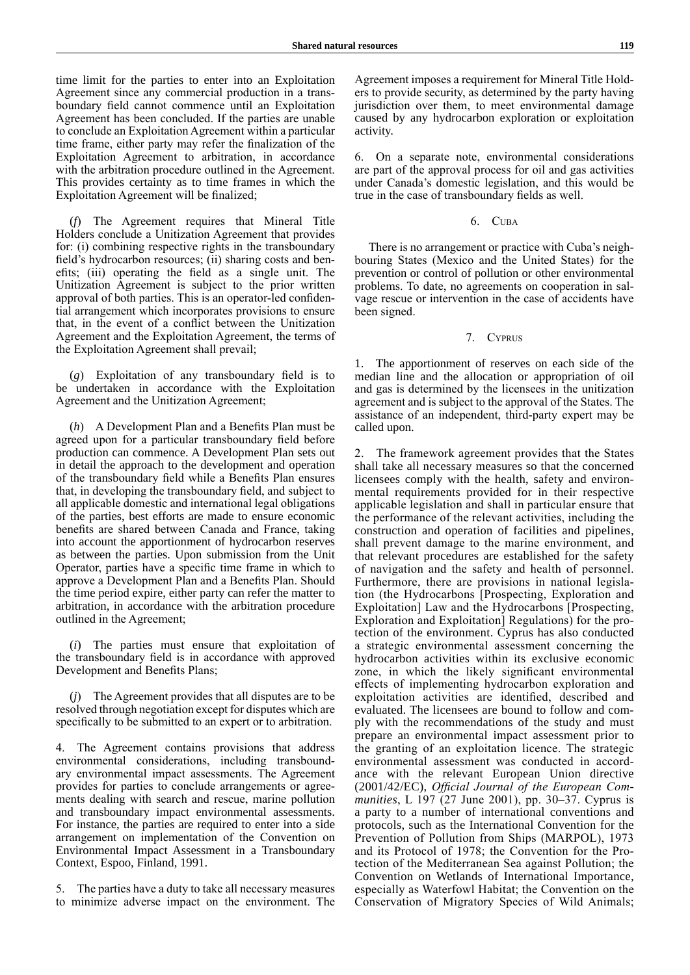time limit for the parties to enter into an Exploitation Agreement since any commercial production in a transboundary field cannot commence until an Exploitation Agreement has been concluded. If the parties are unable to conclude an Exploitation Agreement within a particular time frame, either party may refer the finalization of the Exploitation Agreement to arbitration, in accordance with the arbitration procedure outlined in the Agreement. This provides certainty as to time frames in which the Exploitation Agreement will be finalized;

(*f*) The Agreement requires that Mineral Title Holders conclude a Unitization Agreement that provides for: (i) combining respective rights in the transboundary field's hydrocarbon resources; (ii) sharing costs and benefits; (iii) operating the field as a single unit. The Unitization Agreement is subject to the prior written approval of both parties. This is an operator-led confidential arrangement which incorporates provisions to ensure that, in the event of a conflict between the Unitization Agreement and the Exploitation Agreement, the terms of the Exploitation Agreement shall prevail;

(*g*) Exploitation of any transboundary field is to be undertaken in accordance with the Exploitation Agreement and the Unitization Agreement;

(*h*) A Development Plan and a Benefits Plan must be agreed upon for a particular transboundary field before production can commence. A Development Plan sets out in detail the approach to the development and operation of the transboundary field while a Benefits Plan ensures that, in developing the transboundary field, and subject to all applicable domestic and international legal obligations of the parties, best efforts are made to ensure economic benefits are shared between Canada and France, taking into account the apportionment of hydrocarbon reserves as between the parties. Upon submission from the Unit Operator, parties have a specific time frame in which to approve a Development Plan and a Benefits Plan. Should the time period expire, either party can refer the matter to arbitration, in accordance with the arbitration procedure outlined in the Agreement;

(*i*) The parties must ensure that exploitation of the transboundary field is in accordance with approved Development and Benefits Plans;

(*j*) The Agreement provides that all disputes are to be resolved through negotiation except for disputes which are specifically to be submitted to an expert or to arbitration.

4. The Agreement contains provisions that address environmental considerations, including transboundary environmental impact assessments. The Agreement provides for parties to conclude arrangements or agreements dealing with search and rescue, marine pollution and transboundary impact environmental assessments. For instance, the parties are required to enter into a side arrangement on implementation of the Convention on Environmental Impact Assessment in a Transboundary Context, Espoo, Finland, 1991.

5. The parties have a duty to take all necessary measures to minimize adverse impact on the environment. The Agreement imposes a requirement for Mineral Title Holders to provide security, as determined by the party having jurisdiction over them, to meet environmental damage caused by any hydrocarbon exploration or exploitation activity.

6. On a separate note, environmental considerations are part of the approval process for oil and gas activities under Canada's domestic legislation, and this would be true in the case of transboundary fields as well.

# 6. Cuba

There is no arrangement or practice with Cuba's neighbouring States (Mexico and the United States) for the prevention or control of pollution or other environmental problems. To date, no agreements on cooperation in salvage rescue or intervention in the case of accidents have been signed.

# 7. Cyprus

1. The apportionment of reserves on each side of the median line and the allocation or appropriation of oil and gas is determined by the licensees in the unitization agreement and is subject to the approval of the States. The assistance of an independent, third-party expert may be called upon.

2. The framework agreement provides that the States shall take all necessary measures so that the concerned licensees comply with the health, safety and environmental requirements provided for in their respective applicable legislation and shall in particular ensure that the performance of the relevant activities, including the construction and operation of facilities and pipelines, shall prevent damage to the marine environment, and that relevant procedures are established for the safety of navigation and the safety and health of personnel. Furthermore, there are provisions in national legislation (the Hydrocarbons [Prospecting, Exploration and Exploitation] Law and the Hydrocarbons [Prospecting, Exploration and Exploitation] Regulations) for the protection of the environment. Cyprus has also conducted a strategic environmental assessment concerning the hydrocarbon activities within its exclusive economic zone, in which the likely significant environmental effects of implementing hydrocarbon exploration and exploitation activities are identified, described and evaluated. The licensees are bound to follow and comply with the recommendations of the study and must prepare an environmental impact assessment prior to the granting of an exploitation licence. The strategic environmental assessment was conducted in accordance with the relevant European Union directive (2001/42/EC), *Official Journal of the European Communities*, L 197 (27 June 2001), pp. 30–37. Cyprus is a party to a number of international conventions and protocols, such as the International Convention for the Prevention of Pollution from Ships (MARPOL), 1973 and its Protocol of 1978; the Convention for the Protection of the Mediterranean Sea against Pollution; the Convention on Wetlands of International Importance, especially as Waterfowl Habitat; the Convention on the Conservation of Migratory Species of Wild Animals;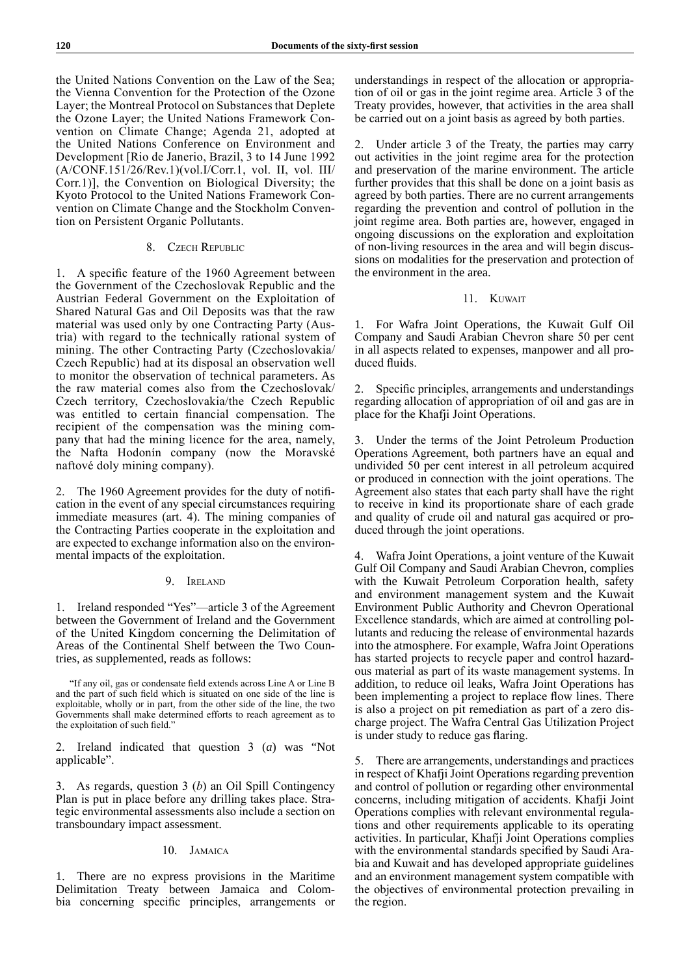the United Nations Convention on the Law of the Sea; the Vienna Convention for the Protection of the Ozone Layer; the Montreal Protocol on Substances that Deplete the Ozone Layer; the United Nations Framework Convention on Climate Change; Agenda 21, adopted at the United Nations Conference on Environment and Development [Rio de Janerio, Brazil, 3 to 14 June 1992 (A/CONF.151/26/Rev.1)(vol.I/Corr.1, vol. II, vol. III/ Corr.1)], the Convention on Biological Diversity; the Kyoto Protocol to the United Nations Framework Convention on Climate Change and the Stockholm Convention on Persistent Organic Pollutants.

# 8. Czech Republic

1. A specific feature of the 1960 Agreement between the Government of the Czechoslovak Republic and the Austrian Federal Government on the Exploitation of Shared Natural Gas and Oil Deposits was that the raw material was used only by one Contracting Party (Austria) with regard to the technically rational system of mining. The other Contracting Party (Czechoslovakia/ Czech Republic) had at its disposal an observation well to monitor the observation of technical parameters. As the raw material comes also from the Czechoslovak/ Czech territory, Czechoslovakia/the Czech Republic was entitled to certain financial compensation. The recipient of the compensation was the mining company that had the mining licence for the area, namely, the Nafta Hodonín company (now the Moravské naftové doly mining company).

2. The 1960 Agreement provides for the duty of notification in the event of any special circumstances requiring immediate measures (art. 4). The mining companies of the Contracting Parties cooperate in the exploitation and are expected to exchange information also on the environmental impacts of the exploitation.

# 9. Ireland

1. Ireland responded "Yes"—article 3 of the Agreement between the Government of Ireland and the Government of the United Kingdom concerning the Delimitation of Areas of the Continental Shelf between the Two Countries, as supplemented, reads as follows:

"If any oil, gas or condensate field extends across Line A or Line B and the part of such field which is situated on one side of the line is exploitable, wholly or in part, from the other side of the line, the two Governments shall make determined efforts to reach agreement as to the exploitation of such field."

2. Ireland indicated that question 3 (*a*) was "Not applicable".

3. As regards, question 3 (*b*) an Oil Spill Contingency Plan is put in place before any drilling takes place. Strategic environmental assessments also include a section on transboundary impact assessment.

# 10. Jamaica

1. There are no express provisions in the Maritime Delimitation Treaty between Jamaica and Colombia concerning specific principles, arrangements or understandings in respect of the allocation or appropriation of oil or gas in the joint regime area. Article 3 of the Treaty provides, however, that activities in the area shall be carried out on a joint basis as agreed by both parties.

2. Under article 3 of the Treaty, the parties may carry out activities in the joint regime area for the protection and preservation of the marine environment. The article further provides that this shall be done on a joint basis as agreed by both parties. There are no current arrangements regarding the prevention and control of pollution in the joint regime area. Both parties are, however, engaged in ongoing discussions on the exploration and exploitation of non-living resources in the area and will begin discussions on modalities for the preservation and protection of the environment in the area.

# 11. Kuwait

1. For Wafra Joint Operations, the Kuwait Gulf Oil Company and Saudi Arabian Chevron share 50 per cent in all aspects related to expenses, manpower and all produced fluids.

2. Specific principles, arrangements and understandings regarding allocation of appropriation of oil and gas are in place for the Khafji Joint Operations.

3. Under the terms of the Joint Petroleum Production Operations Agreement, both partners have an equal and undivided 50 per cent interest in all petroleum acquired or produced in connection with the joint operations. The Agreement also states that each party shall have the right to receive in kind its proportionate share of each grade and quality of crude oil and natural gas acquired or produced through the joint operations.

Wafra Joint Operations, a joint venture of the Kuwait Gulf Oil Company and Saudi Arabian Chevron, complies with the Kuwait Petroleum Corporation health, safety and environment management system and the Kuwait Environment Public Authority and Chevron Operational Excellence standards, which are aimed at controlling pollutants and reducing the release of environmental hazards into the atmosphere. For example, Wafra Joint Operations has started projects to recycle paper and control hazardous material as part of its waste management systems. In addition, to reduce oil leaks, Wafra Joint Operations has been implementing a project to replace flow lines. There is also a project on pit remediation as part of a zero discharge project. The Wafra Central Gas Utilization Project is under study to reduce gas flaring.

5. There are arrangements, understandings and practices in respect of Khafji Joint Operations regarding prevention and control of pollution or regarding other environmental concerns, including mitigation of accidents. Khafji Joint Operations complies with relevant environmental regulations and other requirements applicable to its operating activities. In particular, Khafji Joint Operations complies with the environmental standards specified by Saudi Arabia and Kuwait and has developed appropriate guidelines and an environment management system compatible with the objectives of environmental protection prevailing in the region.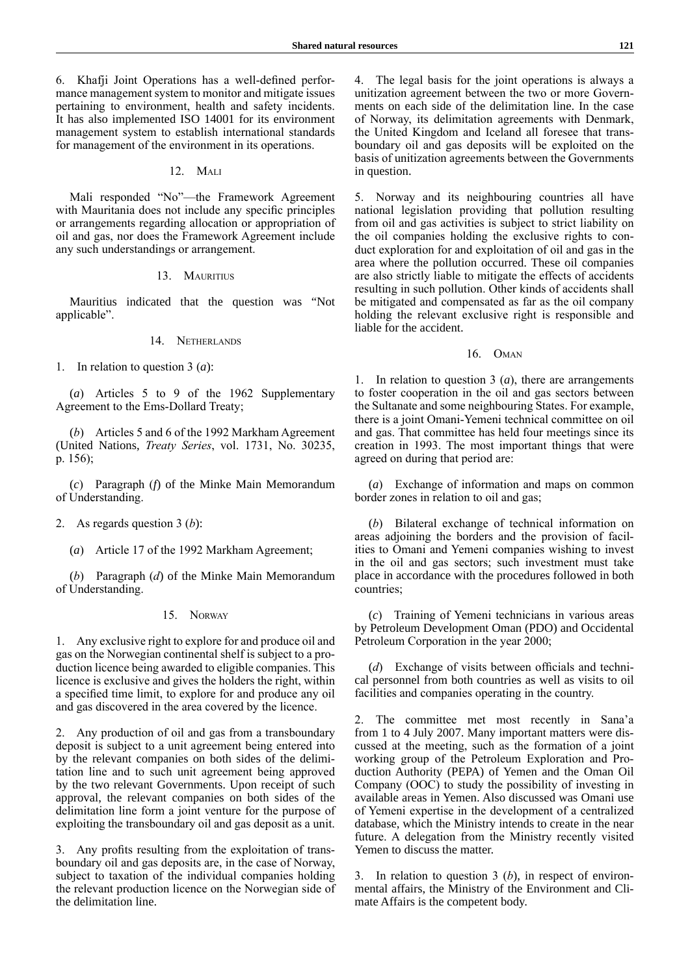6. Khafji Joint Operations has a well-defined performance management system to monitor and mitigate issues pertaining to environment, health and safety incidents. It has also implemented ISO 14001 for its environment management system to establish international standards for management of the environment in its operations.

### 12. Mali

Mali responded "No"—the Framework Agreement with Mauritania does not include any specific principles or arrangements regarding allocation or appropriation of oil and gas, nor does the Framework Agreement include any such understandings or arrangement.

### 13. MAURITIUS

Mauritius indicated that the question was "Not applicable".

### 14 **NETHERLANDS**

1. In relation to question 3 (*a*):

(*a*) Articles 5 to 9 of the 1962 Supplementary Agreement to the Ems-Dollard Treaty;

(*b*) Articles 5 and 6 of the 1992 Markham Agreement (United Nations, *Treaty Series*, vol. 1731, No. 30235, p. 156);

(*c*) Paragraph (*f*) of the Minke Main Memorandum of Understanding.

# 2. As regards question 3 (*b*):

(*a*) Article 17 of the 1992 Markham Agreement;

(*b*) Paragraph (*d*) of the Minke Main Memorandum of Understanding.

# 15. Norway

1. Any exclusive right to explore for and produce oil and gas on the Norwegian continental shelf is subject to a production licence being awarded to eligible companies. This licence is exclusive and gives the holders the right, within a specified time limit, to explore for and produce any oil and gas discovered in the area covered by the licence.

2. Any production of oil and gas from a transboundary deposit is subject to a unit agreement being entered into by the relevant companies on both sides of the delimitation line and to such unit agreement being approved by the two relevant Governments. Upon receipt of such approval, the relevant companies on both sides of the delimitation line form a joint venture for the purpose of exploiting the transboundary oil and gas deposit as a unit.

3. Any profits resulting from the exploitation of transboundary oil and gas deposits are, in the case of Norway, subject to taxation of the individual companies holding the relevant production licence on the Norwegian side of the delimitation line.

4. The legal basis for the joint operations is always a unitization agreement between the two or more Governments on each side of the delimitation line. In the case of Norway, its delimitation agreements with Denmark, the United Kingdom and Iceland all foresee that transboundary oil and gas deposits will be exploited on the basis of unitization agreements between the Governments in question.

5. Norway and its neighbouring countries all have national legislation providing that pollution resulting from oil and gas activities is subject to strict liability on the oil companies holding the exclusive rights to conduct exploration for and exploitation of oil and gas in the area where the pollution occurred. These oil companies are also strictly liable to mitigate the effects of accidents resulting in such pollution. Other kinds of accidents shall be mitigated and compensated as far as the oil company holding the relevant exclusive right is responsible and liable for the accident.

## 16. Oman

1. In relation to question 3 (*a*), there are arrangements to foster cooperation in the oil and gas sectors between the Sultanate and some neighbouring States. For example, there is a joint Omani-Yemeni technical committee on oil and gas. That committee has held four meetings since its creation in 1993. The most important things that were agreed on during that period are:

(*a*) Exchange of information and maps on common border zones in relation to oil and gas;

(*b*) Bilateral exchange of technical information on areas adjoining the borders and the provision of facilities to Omani and Yemeni companies wishing to invest in the oil and gas sectors; such investment must take place in accordance with the procedures followed in both countries;

(*c*) Training of Yemeni technicians in various areas by Petroleum Development Oman (PDO) and Occidental Petroleum Corporation in the year 2000;

(*d*) Exchange of visits between officials and technical personnel from both countries as well as visits to oil facilities and companies operating in the country.

2. The committee met most recently in Sana'a from 1 to 4 July 2007. Many important matters were discussed at the meeting, such as the formation of a joint working group of the Petroleum Exploration and Production Authority (PEPA) of Yemen and the Oman Oil Company (OOC) to study the possibility of investing in available areas in Yemen. Also discussed was Omani use of Yemeni expertise in the development of a centralized database, which the Ministry intends to create in the near future. A delegation from the Ministry recently visited Yemen to discuss the matter.

3. In relation to question 3 (*b*), in respect of environmental affairs, the Ministry of the Environment and Climate Affairs is the competent body.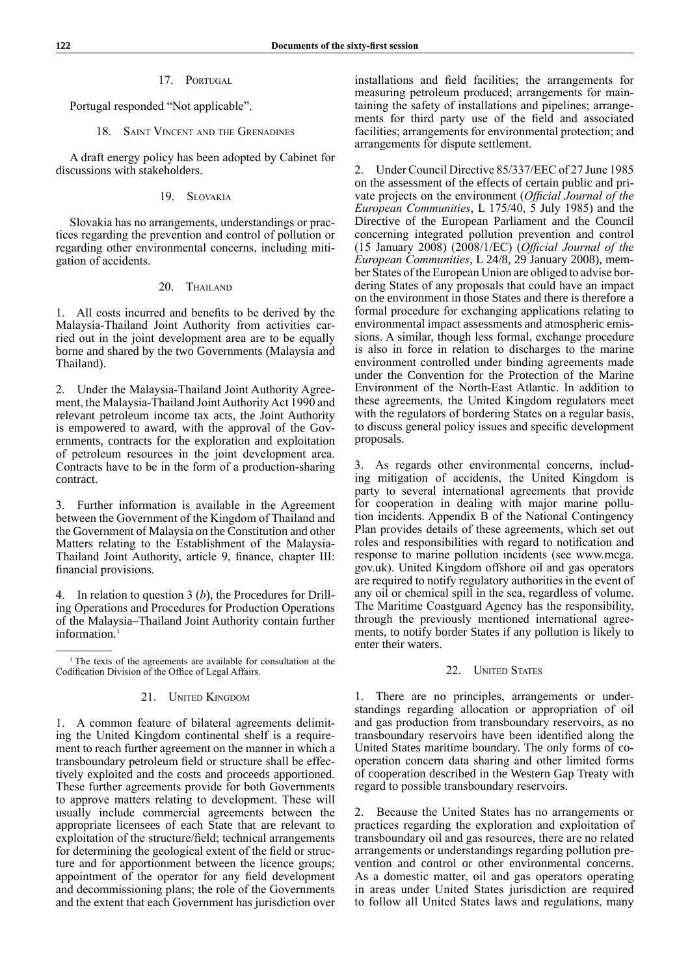# 17. Portugal

Portugal responded "Not applicable".

### 18. SAINT VINCENT AND THE GRENADINES

A draft energy policy has been adopted by Cabinet for discussions with stakeholders.

# 19. Slovakia

Slovakia has no arrangements, understandings or practices regarding the prevention and control of pollution or regarding other environmental concerns, including mitigation of accidents.

### 20. THAILAND

1. All costs incurred and benefits to be derived by the Malaysia-Thailand Joint Authority from activities carried out in the joint development area are to be equally borne and shared by the two Governments (Malaysia and Thailand).

2. Under the Malaysia-Thailand Joint Authority Agreement, the Malaysia-Thailand Joint Authority Act 1990 and relevant petroleum income tax acts, the Joint Authority is empowered to award, with the approval of the Governments, contracts for the exploration and exploitation of petroleum resources in the joint development area. Contracts have to be in the form of a production-sharing contract.

3. Further information is available in the Agreement between the Government of the Kingdom of Thailand and the Government of Malaysia on the Constitution and other Matters relating to the Establishment of the Malaysia-Thailand Joint Authority, article 9, finance, chapter III: financial provisions.

4. In relation to question 3 (*b*), the Procedures for Drilling Operations and Procedures for Production Operations of the Malaysia–Thailand Joint Authority contain further information.<sup>1</sup>

### 21. UNITED KINGDOM

1. A common feature of bilateral agreements delimiting the United Kingdom continental shelf is a requirement to reach further agreement on the manner in which a transboundary petroleum field or structure shall be effectively exploited and the costs and proceeds apportioned. These further agreements provide for both Governments to approve matters relating to development. These will usually include commercial agreements between the appropriate licensees of each State that are relevant to exploitation of the structure/field; technical arrangements for determining the geological extent of the field or structure and for apportionment between the licence groups; appointment of the operator for any field development and decommissioning plans; the role of the Governments and the extent that each Government has jurisdiction over

installations and field facilities; the arrangements for measuring petroleum produced; arrangements for maintaining the safety of installations and pipelines; arrangements for third party use of the field and associated facilities; arrangements for environmental protection; and arrangements for dispute settlement.

2. Under Council Directive 85/337/EEC of 27 June 1985 on the assessment of the effects of certain public and private projects on the environment (*Official Journal of the European Communities*, L 175/40, 5 July 1985) and the Directive of the European Parliament and the Council concerning integrated pollution prevention and control (15 January 2008) (2008/1/EC) (*Official Journal of the European Communities*, L 24/8, 29 January 2008), member States of the European Union are obliged to advise bordering States of any proposals that could have an impact on the environment in those States and there is therefore a formal procedure for exchanging applications relating to environmental impact assessments and atmospheric emissions. A similar, though less formal, exchange procedure is also in force in relation to discharges to the marine environment controlled under binding agreements made under the Convention for the Protection of the Marine Environment of the North-East Atlantic. In addition to these agreements, the United Kingdom regulators meet with the regulators of bordering States on a regular basis, to discuss general policy issues and specific development proposals.

3. As regards other environmental concerns, including mitigation of accidents, the United Kingdom is party to several international agreements that provide for cooperation in dealing with major marine pollution incidents. Appendix B of the National Contingency Plan provides details of these agreements, which set out roles and responsibilities with regard to notification and response to marine pollution incidents (see www.mcga. gov.uk). United Kingdom offshore oil and gas operators are required to notify regulatory authorities in the event of any oil or chemical spill in the sea, regardless of volume. The Maritime Coastguard Agency has the responsibility, through the previously mentioned international agreements, to notify border States if any pollution is likely to enter their waters.

### 22. **UNITED STATES**

1. There are no principles, arrangements or understandings regarding allocation or appropriation of oil and gas production from transboundary reservoirs, as no transboundary reservoirs have been identified along the United States maritime boundary. The only forms of cooperation concern data sharing and other limited forms of cooperation described in the Western Gap Treaty with regard to possible transboundary reservoirs.

2. Because the United States has no arrangements or practices regarding the exploration and exploitation of transboundary oil and gas resources, there are no related arrangements or understandings regarding pollution prevention and control or other environmental concerns. As a domestic matter, oil and gas operators operating in areas under United States jurisdiction are required to follow all United States laws and regulations, many

<sup>&</sup>lt;sup>1</sup> The texts of the agreements are available for consultation at the Codification Division of the Office of Legal Affairs.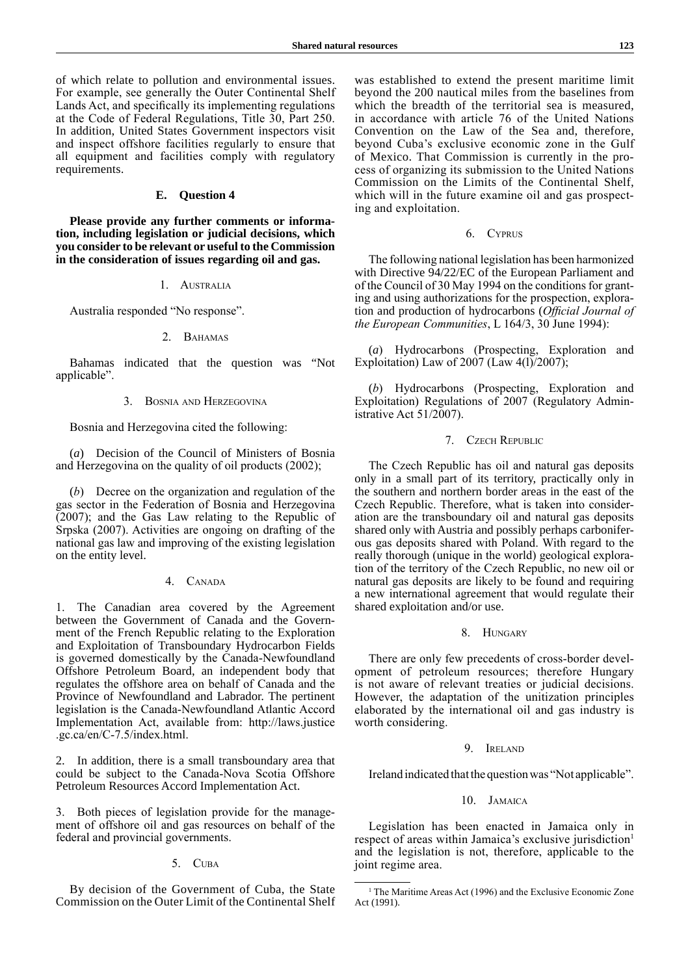of which relate to pollution and environmental issues. For example, see generally the Outer Continental Shelf Lands Act, and specifically its implementing regulations at the Code of Federal Regulations, Title 30, Part 250. In addition, United States Government inspectors visit and inspect offshore facilities regularly to ensure that all equipment and facilities comply with regulatory requirements.

# **E. Question 4**

**Please provide any further comments or information, including legislation or judicial decisions, which you consider to be relevant or useful to the Commission in the consideration of issues regarding oil and gas.**

### 1. Australia

Australia responded "No response".

### 2. BAHAMAS

Bahamas indicated that the question was "Not applicable".

# 3. Bosnia and Herzegovina

Bosnia and Herzegovina cited the following:

(*a*) Decision of the Council of Ministers of Bosnia and Herzegovina on the quality of oil products (2002);

(*b*) Decree on the organization and regulation of the gas sector in the Federation of Bosnia and Herzegovina (2007); and the Gas Law relating to the Republic of Srpska (2007). Activities are ongoing on drafting of the national gas law and improving of the existing legislation on the entity level.

# 4. CANADA

1. The Canadian area covered by the Agreement between the Government of Canada and the Government of the French Republic relating to the Exploration and Exploitation of Transboundary Hydrocarbon Fields is governed domestically by the Canada-Newfoundland Offshore Petroleum Board, an independent body that regulates the offshore area on behalf of Canada and the Province of Newfoundland and Labrador. The pertinent legislation is the Canada-Newfoundland Atlantic Accord Implementation Act, available from: http://laws.justice .gc.ca/en/C-7.5/index.html.

2. In addition, there is a small transboundary area that could be subject to the Canada-Nova Scotia Offshore Petroleum Resources Accord Implementation Act.

3. Both pieces of legislation provide for the management of offshore oil and gas resources on behalf of the federal and provincial governments.

#### 5. Cuba

By decision of the Government of Cuba, the State Commission on the Outer Limit of the Continental Shelf

was established to extend the present maritime limit beyond the 200 nautical miles from the baselines from which the breadth of the territorial sea is measured, in accordance with article 76 of the United Nations Convention on the Law of the Sea and, therefore, beyond Cuba's exclusive economic zone in the Gulf of Mexico. That Commission is currently in the process of organizing its submission to the United Nations Commission on the Limits of the Continental Shelf, which will in the future examine oil and gas prospecting and exploitation.

# 6. Cyprus

The following national legislation has been harmonized with Directive 94/22/EC of the European Parliament and of the Council of 30 May 1994 on the conditions for granting and using authorizations for the prospection, exploration and production of hydrocarbons (*Official Journal of the European Communities*, L 164/3, 30 June 1994):

(*a*) Hydrocarbons (Prospecting, Exploration and Exploitation) Law of 2007 (Law 4(1)/2007);

(*b*) Hydrocarbons (Prospecting, Exploration and Exploitation) Regulations of 2007 (Regulatory Administrative Act 51/2007).

# 7. Czech Republic

The Czech Republic has oil and natural gas deposits only in a small part of its territory, practically only in the southern and northern border areas in the east of the Czech Republic. Therefore, what is taken into consideration are the transboundary oil and natural gas deposits shared only with Austria and possibly perhaps carboniferous gas deposits shared with Poland. With regard to the really thorough (unique in the world) geological exploration of the territory of the Czech Republic, no new oil or natural gas deposits are likely to be found and requiring a new international agreement that would regulate their shared exploitation and/or use.

# 8. Hungary

There are only few precedents of cross-border development of petroleum resources; therefore Hungary is not aware of relevant treaties or judicial decisions. However, the adaptation of the unitization principles elaborated by the international oil and gas industry is worth considering.

### 9. Ireland

Ireland indicated that the question was "Not applicable".

#### 10. Jamaica

Legislation has been enacted in Jamaica only in respect of areas within Jamaica's exclusive jurisdiction<sup>1</sup> and the legislation is not, therefore, applicable to the joint regime area.

<sup>&</sup>lt;sup>1</sup> The Maritime Areas Act (1996) and the Exclusive Economic Zone Act (1991).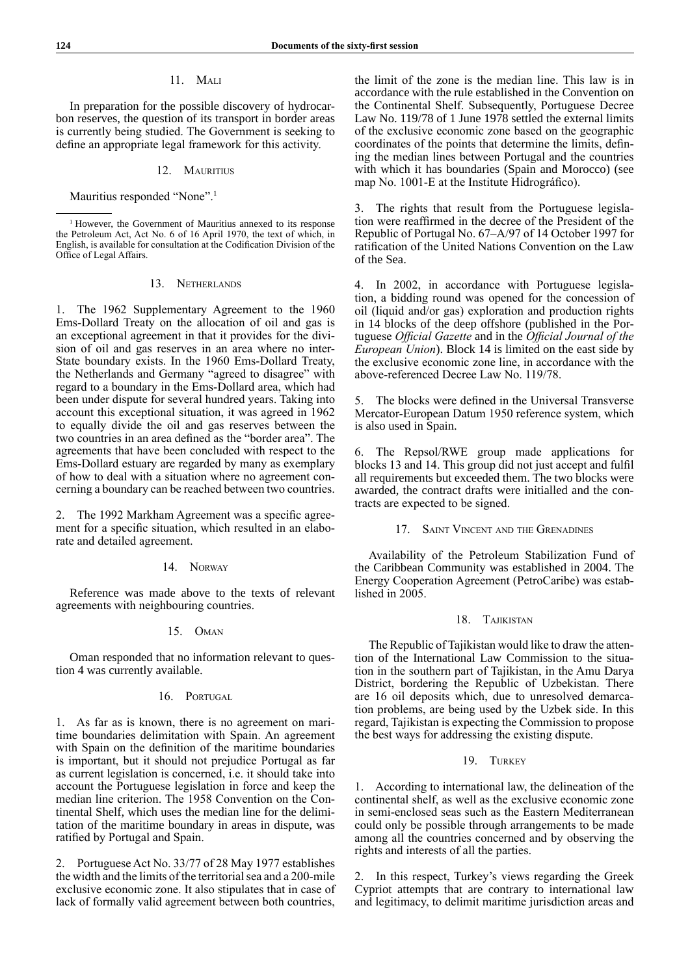# 11. Mali

In preparation for the possible discovery of hydrocarbon reserves, the question of its transport in border areas is currently being studied. The Government is seeking to define an appropriate legal framework for this activity.

### 12. MAURITIUS

Mauritius responded "None".<sup>1</sup>

### 13. Netherlands

1. The 1962 Supplementary Agreement to the 1960 Ems-Dollard Treaty on the allocation of oil and gas is an exceptional agreement in that it provides for the division of oil and gas reserves in an area where no inter-State boundary exists. In the 1960 Ems-Dollard Treaty, the Netherlands and Germany "agreed to disagree" with regard to a boundary in the Ems-Dollard area, which had been under dispute for several hundred years. Taking into account this exceptional situation, it was agreed in 1962 to equally divide the oil and gas reserves between the two countries in an area defined as the "border area". The agreements that have been concluded with respect to the Ems-Dollard estuary are regarded by many as exemplary of how to deal with a situation where no agreement concerning a boundary can be reached between two countries.

2. The 1992 Markham Agreement was a specific agreement for a specific situation, which resulted in an elaborate and detailed agreement.

### 14. Norway

Reference was made above to the texts of relevant agreements with neighbouring countries.

# 15. Oman

Oman responded that no information relevant to question 4 was currently available.

# 16. PORTUGAL

1. As far as is known, there is no agreement on maritime boundaries delimitation with Spain. An agreement with Spain on the definition of the maritime boundaries is important, but it should not prejudice Portugal as far as current legislation is concerned, i.e. it should take into account the Portuguese legislation in force and keep the median line criterion. The 1958 Convention on the Continental Shelf, which uses the median line for the delimitation of the maritime boundary in areas in dispute, was ratified by Portugal and Spain.

2. Portuguese Act No. 33/77 of 28 May 1977 establishes the width and the limits of the territorial sea and a 200-mile exclusive economic zone. It also stipulates that in case of lack of formally valid agreement between both countries,

the limit of the zone is the median line. This law is in accordance with the rule established in the Convention on the Continental Shelf. Subsequently, Portuguese Decree Law No. 119/78 of 1 June 1978 settled the external limits of the exclusive economic zone based on the geographic coordinates of the points that determine the limits, defining the median lines between Portugal and the countries with which it has boundaries (Spain and Morocco) (see map No. 1001-E at the Institute Hidrográfico).

3. The rights that result from the Portuguese legislation were reaffirmed in the decree of the President of the Republic of Portugal No. 67–A/97 of 14 October 1997 for ratification of the United Nations Convention on the Law of the Sea.

4. In 2002, in accordance with Portuguese legislation, a bidding round was opened for the concession of oil (liquid and/or gas) exploration and production rights in 14 blocks of the deep offshore (published in the Portuguese *Official Gazette* and in the *Official Journal of the European Union*). Block 14 is limited on the east side by the exclusive economic zone line, in accordance with the above-referenced Decree Law No. 119/78.

5. The blocks were defined in the Universal Transverse Mercator-European Datum 1950 reference system, which is also used in Spain.

6. The Repsol/RWE group made applications for blocks 13 and 14. This group did not just accept and fulfil all requirements but exceeded them. The two blocks were awarded, the contract drafts were initialled and the contracts are expected to be signed.

17. SAINT VINCENT AND THE GRENADINES

Availability of the Petroleum Stabilization Fund of the Caribbean Community was established in 2004. The Energy Cooperation Agreement (PetroCaribe) was established in 2005.

### 18. Tajikistan

The Republic of Tajikistan would like to draw the attention of the International Law Commission to the situation in the southern part of Tajikistan, in the Amu Darya District, bordering the Republic of Uzbekistan. There are 16 oil deposits which, due to unresolved demarcation problems, are being used by the Uzbek side. In this regard, Tajikistan is expecting the Commission to propose the best ways for addressing the existing dispute.

### 19. TURKEY

1. According to international law, the delineation of the continental shelf, as well as the exclusive economic zone in semi-enclosed seas such as the Eastern Mediterranean could only be possible through arrangements to be made among all the countries concerned and by observing the rights and interests of all the parties.

2. In this respect, Turkey's views regarding the Greek Cypriot attempts that are contrary to international law and legitimacy, to delimit maritime jurisdiction areas and

<sup>&</sup>lt;sup>1</sup> However, the Government of Mauritius annexed to its response the Petroleum Act, Act No. 6 of 16 April 1970, the text of which, in English, is available for consultation at the Codification Division of the Office of Legal Affairs.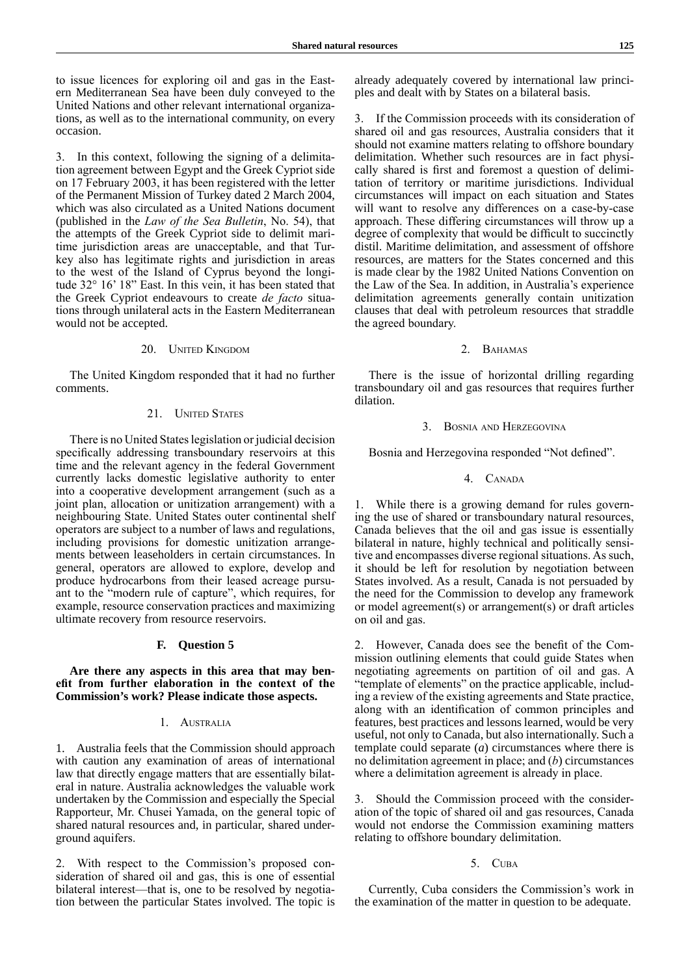to issue licences for exploring oil and gas in the Eastern Mediterranean Sea have been duly conveyed to the United Nations and other relevant international organizations, as well as to the international community, on every occasion.

3. In this context, following the signing of a delimitation agreement between Egypt and the Greek Cypriot side on 17 February 2003, it has been registered with the letter of the Permanent Mission of Turkey dated 2 March 2004, which was also circulated as a United Nations document (published in the *Law of the Sea Bulletin*, No. 54), that the attempts of the Greek Cypriot side to delimit maritime jurisdiction areas are unacceptable, and that Turkey also has legitimate rights and jurisdiction in areas to the west of the Island of Cyprus beyond the longitude 32° 16' 18" East. In this vein, it has been stated that the Greek Cypriot endeavours to create *de facto* situations through unilateral acts in the Eastern Mediterranean would not be accepted.

### 20. UNITED KINGDOM

The United Kingdom responded that it had no further comments.

# 21. **UNITED STATES**

There is no United States legislation or judicial decision specifically addressing transboundary reservoirs at this time and the relevant agency in the federal Government currently lacks domestic legislative authority to enter into a cooperative development arrangement (such as a joint plan, allocation or unitization arrangement) with a neighbouring State. United States outer continental shelf operators are subject to a number of laws and regulations, including provisions for domestic unitization arrangements between leaseholders in certain circumstances. In general, operators are allowed to explore, develop and produce hydrocarbons from their leased acreage pursuant to the "modern rule of capture", which requires, for example, resource conservation practices and maximizing ultimate recovery from resource reservoirs.

### **F. Question 5**

**Are there any aspects in this area that may benefit from further elaboration in the context of the Commission's work? Please indicate those aspects.**

#### 1. Australia

1. Australia feels that the Commission should approach with caution any examination of areas of international law that directly engage matters that are essentially bilateral in nature. Australia acknowledges the valuable work undertaken by the Commission and especially the Special Rapporteur, Mr. Chusei Yamada, on the general topic of shared natural resources and, in particular, shared underground aquifers.

2. With respect to the Commission's proposed consideration of shared oil and gas, this is one of essential bilateral interest—that is, one to be resolved by negotiation between the particular States involved. The topic is already adequately covered by international law principles and dealt with by States on a bilateral basis.

3. If the Commission proceeds with its consideration of shared oil and gas resources, Australia considers that it should not examine matters relating to offshore boundary delimitation. Whether such resources are in fact physically shared is first and foremost a question of delimitation of territory or maritime jurisdictions. Individual circumstances will impact on each situation and States will want to resolve any differences on a case-by-case approach. These differing circumstances will throw up a degree of complexity that would be difficult to succinctly distil. Maritime delimitation, and assessment of offshore resources, are matters for the States concerned and this is made clear by the 1982 United Nations Convention on the Law of the Sea. In addition, in Australia's experience delimitation agreements generally contain unitization clauses that deal with petroleum resources that straddle the agreed boundary.

### 2. BAHAMAS

There is the issue of horizontal drilling regarding transboundary oil and gas resources that requires further dilation.

# 3. Bosnia and Herzegovina

Bosnia and Herzegovina responded "Not defined".

# 4. CANADA

1. While there is a growing demand for rules governing the use of shared or transboundary natural resources, Canada believes that the oil and gas issue is essentially bilateral in nature, highly technical and politically sensitive and encompasses diverse regional situations. As such, it should be left for resolution by negotiation between States involved. As a result, Canada is not persuaded by the need for the Commission to develop any framework or model agreement(s) or arrangement(s) or draft articles on oil and gas.

2. However, Canada does see the benefit of the Commission outlining elements that could guide States when negotiating agreements on partition of oil and gas. A "template of elements" on the practice applicable, including a review of the existing agreements and State practice, along with an identification of common principles and features, best practices and lessons learned, would be very useful, not only to Canada, but also internationally. Such a template could separate (*a*) circumstances where there is no delimitation agreement in place; and (*b*) circumstances where a delimitation agreement is already in place.

3. Should the Commission proceed with the consideration of the topic of shared oil and gas resources, Canada would not endorse the Commission examining matters relating to offshore boundary delimitation.

#### 5. Cuba

Currently, Cuba considers the Commission's work in the examination of the matter in question to be adequate.